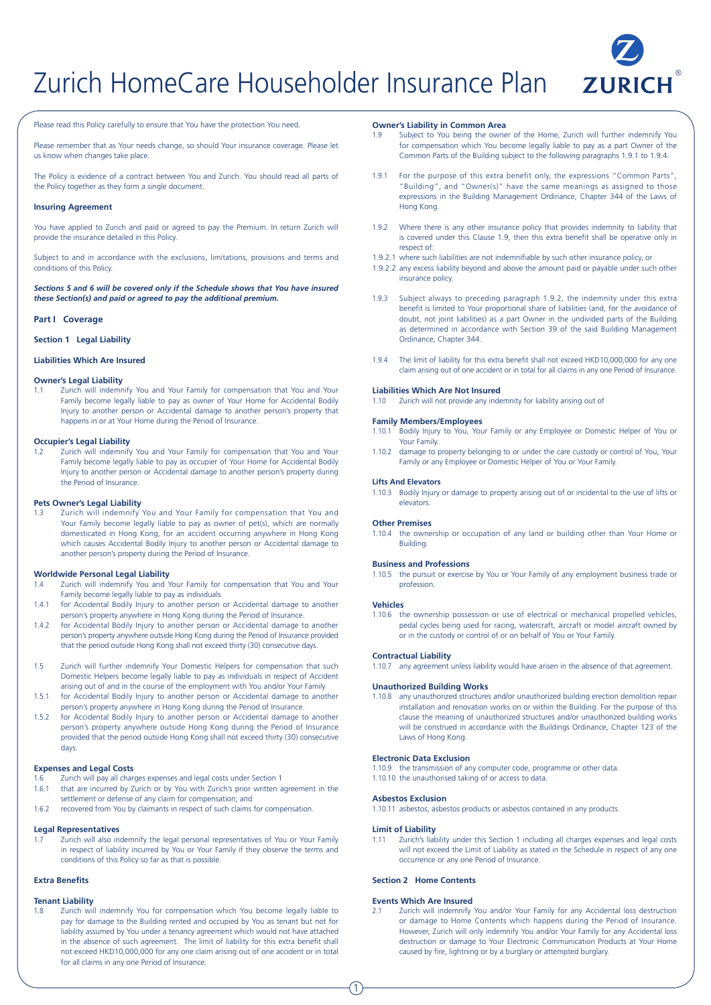# Zurich HomeCare Householder Insurance Plan **ZURICH**



Please read this Policy carefully to ensure that You have the protection You need.

Please remember that as Your needs change, so should Your insurance coverage. Please let us know when changes take place.

The Policy is evidence of a contract between You and Zurich. You should read all parts of the Policy together as they form a single document.

#### **Insuring Agreement**

You have applied to Zurich and paid or agreed to pay the Premium. In return Zurich will provide the insurance detailed in this Policy.

Subject to and in accordance with the exclusions, limitations, provisions and terms and conditions of this Policy.

*Sections 5 and 6 will be covered only if the Schedule shows that You have insured these Section(s) and paid or agreed to pay the additional premium.*

#### **Part I Coverage**

**Section 1 Legal Liability**

#### **Liabilities Which Are Insured**

#### **Owner's Legal Liability**

1.1 Zurich will indemnify You and Your Family for compensation that You and Your Family become legally liable to pay as owner of Your Home for Accidental Bodily Injury to another person or Accidental damage to another person's property that happens in or at Your Home during the Period of Insurance.

#### **Occupier's Legal Liability**

1.2 Zurich will indemnify You and Your Family for compensation that You and Your Family become legally liable to pay as occupier of Your Home for Accidental Bodily Injury to another person or Accidental damage to another person's property during the Period of Insurance.

#### **Pets Owner's Legal Liability**

1.3 Zurich will indemnify You and Your Family for compensation that You and Your Family become legally liable to pay as owner of pet(s), which are normally domesticated in Hong Kong, for an accident occurring anywhere in Hong Kong which causes Accidental Bodily Injury to another person or Accidental damage to another person's property during the Period of Insurance.

#### **Worldwide Personal Legal Liability**

- 1.4 Zurich will indemnify You and Your Family for compensation that You and Your Family become legally liable to pay as individuals
- 1.4.1 for Accidental Bodily Injury to another person or Accidental damage to another person's property anywhere in Hong Kong during the Period of Insurance.
- 1.4.2 for Accidental Bodily Injury to another person or Accidental damage to another person's property anywhere outside Hong Kong during the Period of Insurance provided that the period outside Hong Kong shall not exceed thirty (30) consecutive days.
- 1.5 Zurich will further indemnify Your Domestic Helpers for compensation that such Domestic Helpers become legally liable to pay as individuals in respect of Accident arising out of and in the course of the employment with You and/or Your Family
- 1.5.1 for Accidental Bodily Injury to another person or Accidental damage to another person's property anywhere in Hong Kong during the Period of Insurance.
- 1.5.2 for Accidental Bodily Injury to another person or Accidental damage to another person's property anywhere outside Hong Kong during the Period of Insurance provided that the period outside Hong Kong shall not exceed thirty (30) consecutive days.

#### **Expenses and Legal Costs**

- 1.6 Zurich will pay all charges expenses and legal costs under Section 1
- 1.6.1 that are incurred by Zurich or by You with Zurich's prior written agreement in the settlement or defense of any claim for compensation; and
- 1.6.2 recovered from You by claimants in respect of such claims for compensation.

#### **Legal Representatives**

Zurich will also indemnify the legal personal representatives of You or Your Family in respect of liability incurred by You or Your Family if they observe the terms and conditions of this Policy so far as that is possible.

## **Extra Benefits**

#### **Tenant Liability**

Zurich will indemnify You for compensation which You become legally liable to pay for damage to the Building rented and occupied by You as tenant but not for liability assumed by You under a tenancy agreement which would not have attached in the absence of such agreement. The limit of liability for this extra benefit shall not exceed HKD10,000,000 for any one claim arising out of one accident or in total for all claims in any one Period of Insurance.

#### **Owner's Liability in Common Area**

- 1.9 Subject to You being the owner of the Home, Zurich will further indemnify You for compensation which You become legally liable to pay as a part Owner of the Common Parts of the Building subject to the following paragraphs 1.9.1 to 1.9.4.
- 1.9.1 For the purpose of this extra benefit only, the expressions "Common Parts", "Building", and "Owner(s)" have the same meanings as assigned to those expressions in the Building Management Ordinance, Chapter 344 of the Laws of Hong Kong.
- 1.9.2 Where there is any other insurance policy that provides indemnity to liability that is covered under this Clause 1.9, then this extra benefit shall be operative only in respect of:
- 1.9.2.1 where such liabilities are not indemnifiable by such other insurance policy, or
- 1.9.2.2 any excess liability beyond and above the amount paid or payable under such other insurance policy.
- 1.9.3 Subject always to preceding paragraph 1.9.2, the indemnity under this extra benefit is limited to Your proportional share of liabilities (and, for the avoidance of doubt, not joint liabilities) as a part Owner in the undivided parts of the Building as determined in accordance with Section 39 of the said Building Management Ordinance, Chapter 344.
- 1.9.4 The limit of liability for this extra benefit shall not exceed HKD10,000,000 for any one claim arising out of one accident or in total for all claims in any one Period of Insurance.

#### **Liabilities Which Are Not Insured**

1.10 Zurich will not provide any indemnity for liability arising out of

#### **Family Members/Employees**

- 1.10.1 Bodily Injury to You, Your Family or any Employee or Domestic Helper of You or Your Family.
- 1.10.2 damage to property belonging to or under the care custody or control of You, Your Family or any Employee or Domestic Helper of You or Your Family.

#### **Lifts And Elevators**

1.10.3 Bodily Injury or damage to property arising out of or incidental to the use of lifts or elevators.

#### **Other Premises**

1.10.4 the ownership or occupation of any land or building other than Your Home or Building.

#### **Business and Professions**

1.10.5 the pursuit or exercise by You or Your Family of any employment business trade or profession.

#### **Vehicles**

1.10.6 the ownership possession or use of electrical or mechanical propelled vehicles, pedal cycles being used for racing, watercraft, aircraft or model aircraft owned by or in the custody or control of or on behalf of You or Your Family.

#### **Contractual Liability**

1.10.7 any agreement unless liability would have arisen in the absence of that agreement.

#### **Unauthorized Building Works**

1.10.8 any unauthorized structures and/or unauthorized building erection demolition repair installation and renovation works on or within the Building. For the purpose of this clause the meaning of unauthorized structures and/or unauthorized building works will be construed in accordance with the Buildings Ordinance, Chapter 123 of the Laws of Hong Kong.

#### **Electronic Data Exclusion**

1.10.9 the transmission of any computer code, programme or other data. 1.10.10 the unauthorised taking of or access to data.

## **Asbestos Exclusion**

1.10.11 asbestos, asbestos products or asbestos contained in any products.

#### **Limit of Liability**

1

1.11 Zurich's liability under this Section 1 including all charges expenses and legal costs will not exceed the Limit of Liability as stated in the Schedule in respect of any one occurrence or any one Period of Insurance.

#### **Section 2 Home Contents**

#### **Events Which Are Insured**

2.1 Zurich will indemnify You and/or Your Family for any Accidental loss destruction or damage to Home Contents which happens during the Period of Insurance. However, Zurich will only indemnify You and/or Your Family for any Accidental loss destruction or damage to Your Electronic Communication Products at Your Home caused by fire, lightning or by a burglary or attempted burglary.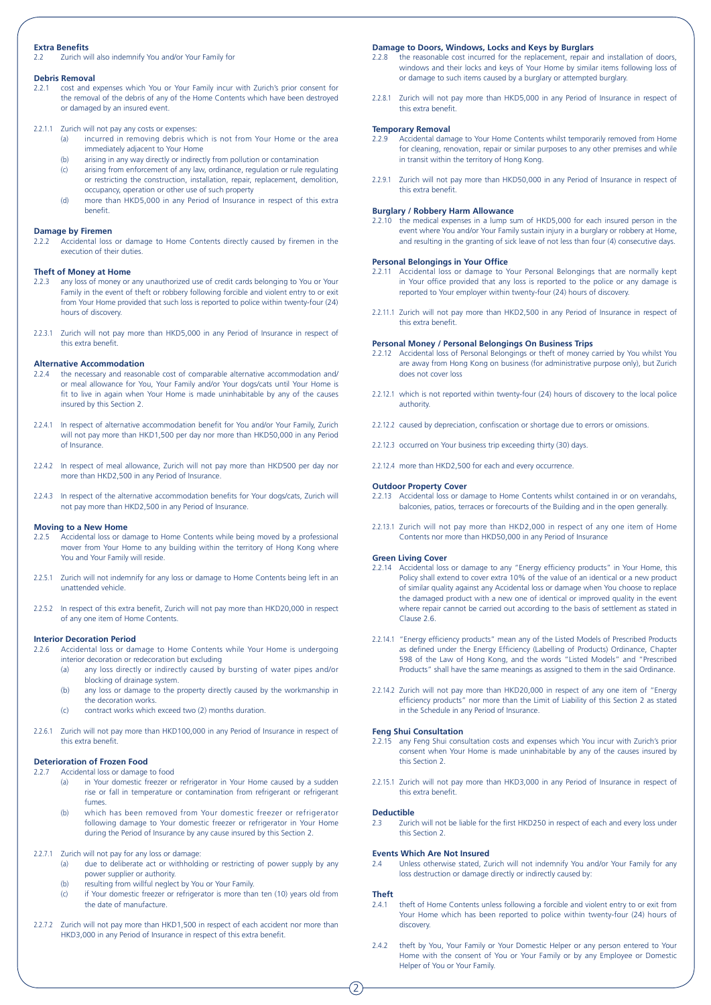## **Extra Benefits**

2.2 Zurich will also indemnify You and/or Your Family for

## **Debris Removal**<br>2.2.1 cost and e

- 2.2.1 cost and expenses which You or Your Family incur with Zurich's prior consent for the removal of the debris of any of the Home Contents which have been destroyed or damaged by an insured event.
- 2.2.1.1 Zurich will not pay any costs or expenses:
	- (a) incurred in removing debris which is not from Your Home or the area immediately adjacent to Your Home
	- (b) arising in any way directly or indirectly from pollution or contamination
	- (c) arising from enforcement of any law, ordinance, regulation or rule regulating or restricting the construction, installation, repair, replacement, demolition, occupancy, operation or other use of such property
	- (d) more than HKD5,000 in any Period of Insurance in respect of this extra benefit.

## **Damage by Firemen**<br>2.2.2 Accidental loss

2.2.2 Accidental loss or damage to Home Contents directly caused by firemen in the execution of their duties.

## **Theft of Money at Home**<br>2.2.3 any loss of money or

- any loss of money or any unauthorized use of credit cards belonging to You or Your Family in the event of theft or robbery following forcible and violent entry to or exit from Your Home provided that such loss is reported to police within twenty-four (24) hours of discovery.
- 2.2.3.1 Zurich will not pay more than HKD5,000 in any Period of Insurance in respect of this extra benefit.

#### **Alternative Accommodation**

- 2.2.4 the necessary and reasonable cost of comparable alternative accommodation and/ or meal allowance for You, Your Family and/or Your dogs/cats until Your Home is fit to live in again when Your Home is made uninhabitable by any of the causes insured by this Section 2.
- 2.2.4.1 In respect of alternative accommodation benefit for You and/or Your Family, Zurich will not pay more than HKD1,500 per day nor more than HKD50,000 in any Period of Insurance.
- 2.2.4.2 In respect of meal allowance, Zurich will not pay more than HKD500 per day nor more than HKD2,500 in any Period of Insurance.
- 2.2.4.3 In respect of the alternative accommodation benefits for Your dogs/cats, Zurich will not pay more than HKD2,500 in any Period of Insurance.

#### **Moving to a New Home**

- 2.2.5 Accidental loss or damage to Home Contents while being moved by a professional mover from Your Home to any building within the territory of Hong Kong where You and Your Family will reside.
- 2.2.5.1 Zurich will not indemnify for any loss or damage to Home Contents being left in an unattended vehicle.
- 2.2.5.2 In respect of this extra benefit, Zurich will not pay more than HKD20,000 in respect of any one item of Home Contents.

#### **Interior Decoration Period**

- 2.2.6 Accidental loss or damage to Home Contents while Your Home is undergoing interior decoration or redecoration but excluding
	- (a) any loss directly or indirectly caused by bursting of water pipes and/or blocking of drainage system.
	- $(b)$  any loss or damage to the property directly caused by the workmanship in the decoration works.
	- (c) contract works which exceed two (2) months duration.
- 2.2.6.1 Zurich will not pay more than HKD100,000 in any Period of Insurance in respect of this extra benefit.

#### **Deterioration of Frozen Food**

- 2.2.7 Accidental loss or damage to food
	- (a) in Your domestic freezer or refrigerator in Your Home caused by a sudden rise or fall in temperature or contamination from refrigerant or refrigerant fumes.
	- (b) which has been removed from Your domestic freezer or refrigerator following damage to Your domestic freezer or refrigerator in Your Home during the Period of Insurance by any cause insured by this Section 2.

#### 2.2.7.1 Zurich will not pay for any loss or damage:

- (a) due to deliberate act or withholding or restricting of power supply by any power supplier or authority.
- (b) resulting from willful neglect by You or Your Family.
- (c) if Your domestic freezer or refrigerator is more than ten (10) years old from the date of manufacture.
- 2.2.7.2 Zurich will not pay more than HKD1,500 in respect of each accident nor more than HKD3,000 in any Period of Insurance in respect of this extra benefit.

#### **Damage to Doors, Windows, Locks and Keys by Burglars**

- 2.2.8 the reasonable cost incurred for the replacement, repair and installation of doors, windows and their locks and keys of Your Home by similar items following loss of or damage to such items caused by a burglary or attempted burglary.
- 2.2.8.1 Zurich will not pay more than HKD5,000 in any Period of Insurance in respect of this extra benefit.

#### **Temporary Removal**

- 2.2.9 Accidental damage to Your Home Contents whilst temporarily removed from Home for cleaning, renovation, repair or similar purposes to any other premises and while in transit within the territory of Hong Kong.
- 2.2.9.1 Zurich will not pay more than HKD50,000 in any Period of Insurance in respect of this extra benefit.

#### **Burglary / Robbery Harm Allowance**

2.2.10 the medical expenses in a lump sum of HKD5,000 for each insured person in the event where You and/or Your Family sustain injury in a burglary or robbery at Home, and resulting in the granting of sick leave of not less than four (4) consecutive days.

#### **Personal Belongings in Your Office**

- 2.2.11 Accidental loss or damage to Your Personal Belongings that are normally kept in Your office provided that any loss is reported to the police or any damage is reported to Your employer within twenty-four (24) hours of discovery.
- 2.2.11.1 Zurich will not pay more than HKD2,500 in any Period of Insurance in respect of this extra benefit.

#### **Personal Money / Personal Belongings On Business Trips**

- 2.2.12 Accidental loss of Personal Belongings or theft of money carried by You whilst You are away from Hong Kong on business (for administrative purpose only), but Zurich does not cover loss
- 2.2.12.1 which is not reported within twenty-four (24) hours of discovery to the local police authority.
- 2.2.12.2 caused by depreciation, confiscation or shortage due to errors or omissions.
- 2.2.12.3 occurred on Your business trip exceeding thirty (30) days.
- 2.2.12.4 more than HKD2,500 for each and every occurrence.

#### **Outdoor Property Cover**

- 2.2.13 Accidental loss or damage to Home Contents whilst contained in or on verandahs, balconies, patios, terraces or forecourts of the Building and in the open generally.
- 2.2.13.1 Zurich will not pay more than HKD2,000 in respect of any one item of Home Contents nor more than HKD50,000 in any Period of Insurance

#### **Green Living Cover**

- 2.2.14 Accidental loss or damage to any "Energy efficiency products" in Your Home, this Policy shall extend to cover extra 10% of the value of an identical or a new product of similar quality against any Accidental loss or damage when You choose to replace the damaged product with a new one of identical or improved quality in the event where repair cannot be carried out according to the basis of settlement as stated in Clause 2.6.
- 2.2.14.1 "Energy efficiency products" mean any of the Listed Models of Prescribed Products as defined under the Energy Efficiency (Labelling of Products) Ordinance, Chapter 598 of the Law of Hong Kong, and the words "Listed Models" and "Prescribed Products" shall have the same meanings as assigned to them in the said Ordinance.
- 2.2.14.2 Zurich will not pay more than HKD20,000 in respect of any one item of "Energy efficiency products" nor more than the Limit of Liability of this Section 2 as stated in the Schedule in any Period of Insurance.

#### **Feng Shui Consultation**

- 2.2.15 any Feng Shui consultation costs and expenses which You incur with Zurich's prior consent when Your Home is made uninhabitable by any of the causes insured by this Section 2.
- 2.2.15.1 Zurich will not pay more than HKD3,000 in any Period of Insurance in respect of this extra benefit.

#### **Deductible**

2.3 Zurich will not be liable for the first HKD250 in respect of each and every loss under this Section 2.

#### **Events Which Are Not Insured**

2.4 Unless otherwise stated, Zurich will not indemnify You and/or Your Family for any loss destruction or damage directly or indirectly caused by:

#### **Theft**

- 2.4.1 theft of Home Contents unless following a forcible and violent entry to or exit from Your Home which has been reported to police within twenty-four (24) hours of discovery.
- 2.4.2 theft by You, Your Family or Your Domestic Helper or any person entered to Your Home with the consent of You or Your Family or by any Employee or Domestic Helper of You or Your Family.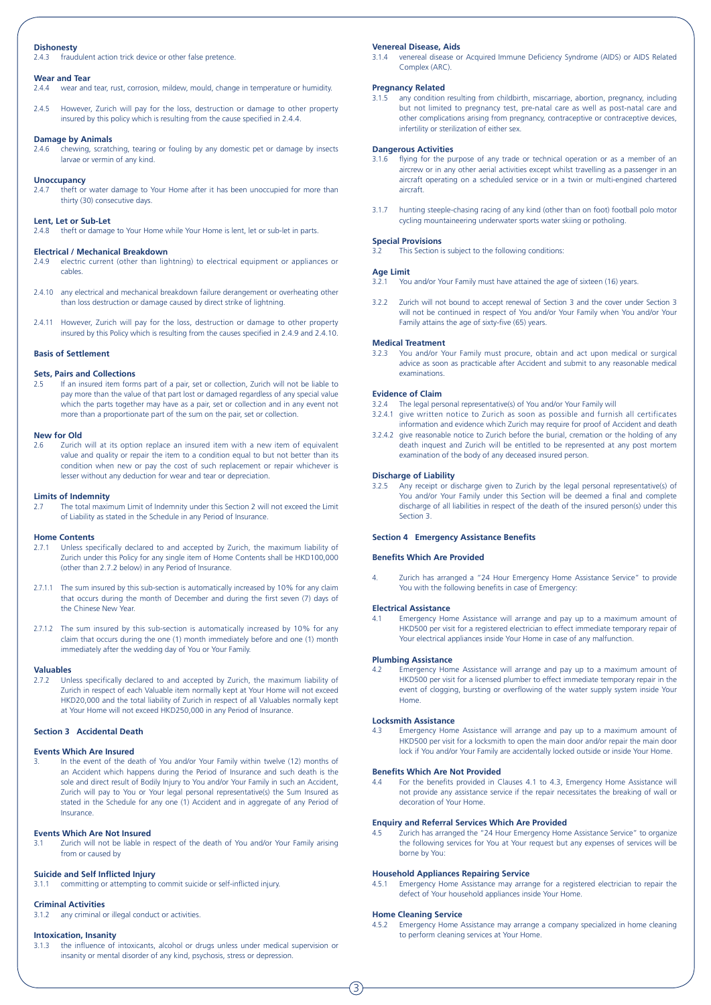### **Dishonesty**

2.4.3 fraudulent action trick device or other false pretence.

## **Wear and Tear**<br>2.4.4 **Wear and**

2.4.4 wear and tear, rust, corrosion, mildew, mould, change in temperature or humidity.

2.4.5 However, Zurich will pay for the loss, destruction or damage to other property insured by this policy which is resulting from the cause specified in 2.4.4.

#### **Damage by Animals**

2.4.6 chewing, scratching, tearing or fouling by any domestic pet or damage by insects larvae or vermin of any kind.

#### **Unoccupancy**

2.4.7 theft or water damage to Your Home after it has been unoccupied for more than thirty (30) consecutive days.

#### **Lent, Let or Sub-Let**

2.4.8 theft or damage to Your Home while Your Home is lent, let or sub-let in parts.

#### **Electrical / Mechanical Breakdown**

- 2.4.9 electric current (other than lightning) to electrical equipment or appliances or cables.
- 2.4.10 any electrical and mechanical breakdown failure derangement or overheating other than loss destruction or damage caused by direct strike of lightning.
- 2.4.11 However, Zurich will pay for the loss, destruction or damage to other property insured by this Policy which is resulting from the causes specified in 2.4.9 and 2.4.10.

#### **Basis of Settlement**

#### **Sets, Pairs and Collections**

2.5 If an insured item forms part of a pair, set or collection, Zurich will not be liable to pay more than the value of that part lost or damaged regardless of any special value which the parts together may have as a pair, set or collection and in any event not more than a proportionate part of the sum on the pair, set or collection.

#### **New for Old**

2.6 Zurich will at its option replace an insured item with a new item of equivalent value and quality or repair the item to a condition equal to but not better than its condition when new or pay the cost of such replacement or repair whichever is lesser without any deduction for wear and tear or depreciation.

## **Limits of Indemnity**<br>2.7 The total maxing

2.7 The total maximum Limit of Indemnity under this Section 2 will not exceed the Limit of Liability as stated in the Schedule in any Period of Insurance.

#### **Home Contents**

- 2.7.1 Unless specifically declared to and accepted by Zurich, the maximum liability of Zurich under this Policy for any single item of Home Contents shall be HKD100,000 (other than 2.7.2 below) in any Period of Insurance.
- 2.7.1.1 The sum insured by this sub-section is automatically increased by 10% for any claim that occurs during the month of December and during the first seven (7) days of the Chinese New Year.
- 2.7.1.2 The sum insured by this sub-section is automatically increased by 10% for any claim that occurs during the one (1) month immediately before and one (1) month immediately after the wedding day of You or Your Family.

#### **Valuables**

2.7.2 Unless specifically declared to and accepted by Zurich, the maximum liability of Zurich in respect of each Valuable item normally kept at Your Home will not exceed HKD20,000 and the total liability of Zurich in respect of all Valuables normally kept at Your Home will not exceed HKD250,000 in any Period of Insurance.

#### **Section 3 Accidental Death**

#### **Events Which Are Insured**

3. In the event of the death of You and/or Your Family within twelve (12) months of an Accident which happens during the Period of Insurance and such death is the sole and direct result of Bodily Injury to You and/or Your Family in such an Accident, Zurich will pay to You or Your legal personal representative(s) the Sum Insured as stated in the Schedule for any one (1) Accident and in aggregate of any Period of Insurance.

#### **Events Which Are Not Insured**

Zurich will not be liable in respect of the death of You and/or Your Family arising from or caused by

#### **Suicide and Self Inflicted Injury**

3.1.1 committing or attempting to commit suicide or self-inflicted injury.

#### **Criminal Activities**

3.1.2 any criminal or illegal conduct or activities.

#### **Intoxication, Insanity**

3.1.3 the influence of intoxicants, alcohol or drugs unless under medical supervision or insanity or mental disorder of any kind, psychosis, stress or depression.

#### **Venereal Disease, Aids**

3.1.4 venereal disease or Acquired Immune Deficiency Syndrome (AIDS) or AIDS Related Complex (ARC).

#### **Pregnancy Related**

3.1.5 any condition resulting from childbirth, miscarriage, abortion, pregnancy, including but not limited to pregnancy test, pre-natal care as well as post-natal care and other complications arising from pregnancy, contraceptive or contraceptive devices, infertility or sterilization of either sex.

#### **Dangerous Activities**

- 3.1.6 flying for the purpose of any trade or technical operation or as a member of an aircrew or in any other aerial activities except whilst travelling as a passenger in an aircraft operating on a scheduled service or in a twin or multi-engined chartered aircraft.
- 3.1.7 hunting steeple-chasing racing of any kind (other than on foot) football polo motor cycling mountaineering underwater sports water skiing or potholing.

#### **Special Provisions**

This Section is subject to the following conditions:

#### **Age Limit**

- 3.2.1 You and/or Your Family must have attained the age of sixteen (16) years.
- 3.2.2 Zurich will not bound to accept renewal of Section 3 and the cover under Section 3 will not be continued in respect of You and/or Your Family when You and/or Your Family attains the age of sixty-five (65) years.

#### **Medical Treatment**

3.2.3 You and/or Your Family must procure, obtain and act upon medical or surgical advice as soon as practicable after Accident and submit to any reasonable medical examinations.

#### **Evidence of Claim**

- 3.2.4 The legal personal representative(s) of You and/or Your Family will
- 3.2.4.1 give written notice to Zurich as soon as possible and furnish all certificates information and evidence which Zurich may require for proof of Accident and death
- 3.2.4.2 give reasonable notice to Zurich before the burial, cremation or the holding of any death inquest and Zurich will be entitled to be represented at any post mortem examination of the body of any deceased insured person.

#### **Discharge of Liability**

3.2.5 Any receipt or discharge given to Zurich by the legal personal representative(s) of You and/or Your Family under this Section will be deemed a final and complete discharge of all liabilities in respect of the death of the insured person(s) under this Section<sub>3</sub>.

#### **Section 4 Emergency Assistance Benefits**

#### **Benefits Which Are Provided**

4. Zurich has arranged a "24 Hour Emergency Home Assistance Service" to provide You with the following benefits in case of Emergency:

#### **Electrical Assistance**

4.1 Emergency Home Assistance will arrange and pay up to a maximum amount of HKD500 per visit for a registered electrician to effect immediate temporary repair of Your electrical appliances inside Your Home in case of any malfunction.

#### **Plumbing Assistance**

Emergency Home Assistance will arrange and pay up to a maximum amount of HKD500 per visit for a licensed plumber to effect immediate temporary repair in the event of clogging, bursting or overflowing of the water supply system inside Your Home.

#### **Locksmith Assistance**

4.3 Emergency Home Assistance will arrange and pay up to a maximum amount of HKD500 per visit for a locksmith to open the main door and/or repair the main door lock if You and/or Your Family are accidentally locked outside or inside Your Home.

#### **Benefits Which Are Not Provided**

4.4 For the benefits provided in Clauses 4.1 to 4.3, Emergency Home Assistance will not provide any assistance service if the repair necessitates the breaking of wall or decoration of Your Home.

#### **Enquiry and Referral Services Which Are Provided**

4.5 Zurich has arranged the "24 Hour Emergency Home Assistance Service" to organize the following services for You at Your request but any expenses of services will be borne by You:

#### **Household Appliances Repairing Service**

Emergency Home Assistance may arrange for a registered electrician to repair the defect of Your household appliances inside Your Home.

#### **Home Cleaning Service**

Emergency Home Assistance may arrange a company specialized in home cleaning to perform cleaning services at Your Home.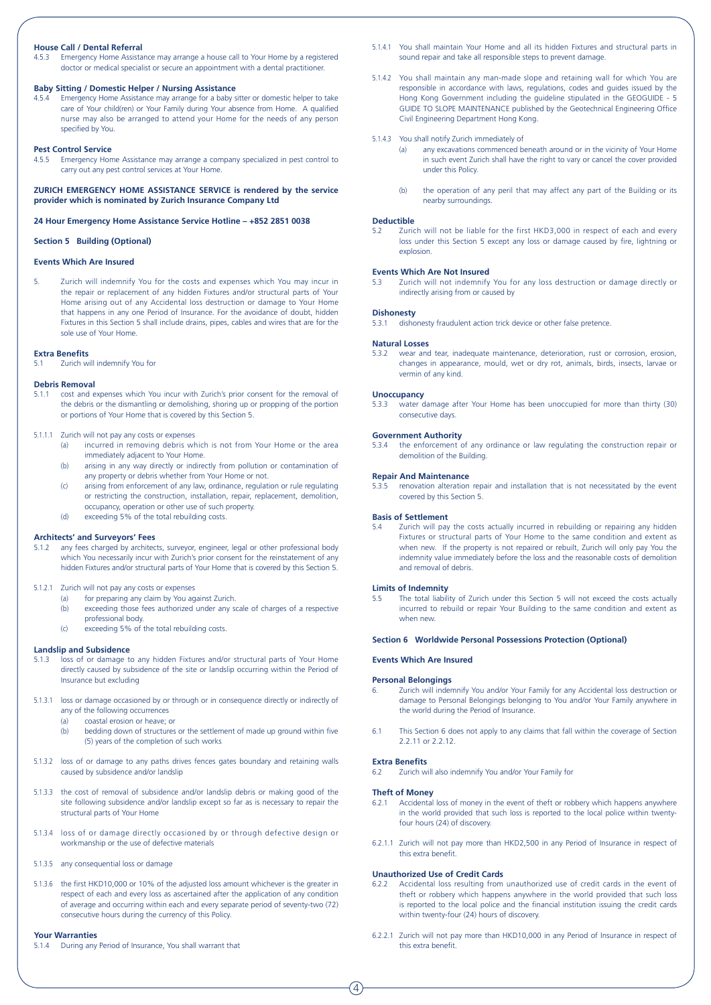#### **House Call / Dental Referral**

4.5.3 Emergency Home Assistance may arrange a house call to Your Home by a registered doctor or medical specialist or secure an appointment with a dental practitioner.

#### **Baby Sitting / Domestic Helper / Nursing Assistance**

4.5.4 Emergency Home Assistance may arrange for a baby sitter or domestic helper to take care of Your child(ren) or Your Family during Your absence from Home. A qualified nurse may also be arranged to attend your Home for the needs of any person specified by You.

#### **Pest Control Service**

4.5.5 Emergency Home Assistance may arrange a company specialized in pest control to carry out any pest control services at Your Home.

**ZURICH EMERGENCY HOME ASSISTANCE SERVICE is rendered by the service provider which is nominated by Zurich Insurance Company Ltd**

#### **24 Hour Emergency Home Assistance Service Hotline – +852 2851 0038**

#### **Section 5 Building (Optional)**

#### **Events Which Are Insured**

5. Zurich will indemnify You for the costs and expenses which You may incur in the repair or replacement of any hidden Fixtures and/or structural parts of Your Home arising out of any Accidental loss destruction or damage to Your Home that happens in any one Period of Insurance. For the avoidance of doubt, hidden Fixtures in this Section 5 shall include drains, pipes, cables and wires that are for the sole use of Your Home.

#### **Extra Benefits**

5.1 Zurich will indemnify You for

#### **Debris Removal**

- 5.1.1 cost and expenses which You incur with Zurich's prior consent for the removal of the debris or the dismantling or demolishing, shoring up or propping of the portion or portions of Your Home that is covered by this Section 5.
- 5.1.1.1 Zurich will not pay any costs or expenses
	- (a) incurred in removing debris which is not from Your Home or the area immediately adjacent to Your Home.
	- (b) arising in any way directly or indirectly from pollution or contamination of any property or debris whether from Your Home or not.
	- (c) arising from enforcement of any law, ordinance, regulation or rule regulating or restricting the construction, installation, repair, replacement, demolition, occupancy, operation or other use of such property.
	- (d) exceeding 5% of the total rebuilding costs.

#### **Architects' and Surveyors' Fees**

5.1.2 any fees charged by architects, surveyor, engineer, legal or other professional body which You necessarily incur with Zurich's prior consent for the reinstatement of any hidden Fixtures and/or structural parts of Your Home that is covered by this Section 5.

#### 5.1.2.1 Zurich will not pay any costs or expenses

- (a) for preparing any claim by You against Zurich.
- (b) exceeding those fees authorized under any scale of charges of a respective professional body.
- (c) exceeding 5% of the total rebuilding costs.

# **Landslip and Subsidence**<br>5.1.3 loss of or damage t

- ioss of or damage to any hidden Fixtures and/or structural parts of Your Home directly caused by subsidence of the site or landslip occurring within the Period of Insurance but excluding
- 5.1.3.1 loss or damage occasioned by or through or in consequence directly or indirectly of any of the following occurrences
	- (a) coastal erosion or heave; or  $(h)$  bedding down of structures
	- bedding down of structures or the settlement of made up ground within five (5) years of the completion of such works
- 5.1.3.2 loss of or damage to any paths drives fences gates boundary and retaining walls caused by subsidence and/or landslip
- 5.1.3.3 the cost of removal of subsidence and/or landslip debris or making good of the site following subsidence and/or landslip except so far as is necessary to repair the structural parts of Your Home
- 5.1.3.4 loss of or damage directly occasioned by or through defective design or workmanship or the use of defective materials
- 5.1.3.5 any consequential loss or damage
- 5.1.3.6 the first HKD10,000 or 10% of the adjusted loss amount whichever is the greater in respect of each and every loss as ascertained after the application of any condition of average and occurring within each and every separate period of seventy-two (72) consecutive hours during the currency of this Policy.

#### **Your Warranties**

5.1.4 During any Period of Insurance, You shall warrant that

- 5.1.4.1 You shall maintain Your Home and all its hidden Fixtures and structural parts in sound repair and take all responsible steps to prevent damage.
- 5.1.4.2 You shall maintain any man-made slope and retaining wall for which You are responsible in accordance with laws, regulations, codes and guides issued by the Hong Kong Government including the guideline stipulated in the GEOGUIDE - 5 GUIDE TO SLOPE MAINTENANCE published by the Geotechnical Engineering Office Civil Engineering Department Hong Kong.
- 5.1.4.3 You shall notify Zurich immediately of
	- (a) any excavations commenced beneath around or in the vicinity of Your Home in such event Zurich shall have the right to vary or cancel the cover provided under this Policy.
	- (b) the operation of any peril that may affect any part of the Building or its nearby surroundings.

## **Deductible**<br>5.2 Zurie

5.2 Zurich will not be liable for the first HKD3,000 in respect of each and every loss under this Section 5 except any loss or damage caused by fire, lightning or explosion.

#### **Events Which Are Not Insured**

5.3 Zurich will not indemnify You for any loss destruction or damage directly or indirectly arising from or caused by

#### **Dishonesty**

5.3.1 dishonesty fraudulent action trick device or other false pretence.

#### **Natural Losses**

5.3.2 wear and tear, inadequate maintenance, deterioration, rust or corrosion, erosion, changes in appearance, mould, wet or dry rot, animals, birds, insects, larvae or vermin of any kind.

#### **Unoccupancy**

5.3.3 water damage after Your Home has been unoccupied for more than thirty (30) consecutive days.

#### **Government Authority**

5.3.4 the enforcement of any ordinance or law regulating the construction repair or demolition of the Building.

#### **Repair And Maintenance**

5.3.5 renovation alteration repair and installation that is not necessitated by the event covered by this Section 5.

## **Basis of Settlement**<br>5.4 **Zurich will nay**

5.4 Zurich will pay the costs actually incurred in rebuilding or repairing any hidden Fixtures or structural parts of Your Home to the same condition and extent as when new. If the property is not repaired or rebuilt, Zurich will only pay You the indemnity value immediately before the loss and the reasonable costs of demolition and removal of debris.

#### **Limits of Indemnity**

The total liability of Zurich under this Section 5 will not exceed the costs actually incurred to rebuild or repair Your Building to the same condition and extent as when new.

#### **Section 6 Worldwide Personal Possessions Protection (Optional)**

#### **Events Which Are Insured**

#### **Personal Belongings**

- 6. Zurich will indemnify You and/or Your Family for any Accidental loss destruction or damage to Personal Belongings belonging to You and/or Your Family anywhere in the world during the Period of Insurance.
- 6.1 This Section 6 does not apply to any claims that fall within the coverage of Section 2.2.11 or 2.2.12

#### **Extra Benefits**

 $\widehat{4}$ 

6.2 Zurich will also indemnify You and/or Your Family for

#### **Theft of Money**

- 6.2.1 Accidental loss of money in the event of theft or robbery which happens anywhere in the world provided that such loss is reported to the local police within twentyfour hours (24) of discovery.
- 6.2.1.1 Zurich will not pay more than HKD2,500 in any Period of Insurance in respect of this extra benefit.

## **Unauthorized Use of Credit Cards**<br>6.2.2 Accidental loss resulting from

- 6.2.2 Accidental loss resulting from unauthorized use of credit cards in the event of theft or robbery which happens anywhere in the world provided that such loss is reported to the local police and the financial institution issuing the credit cards within twenty-four (24) hours of discovery.
- 6.2.2.1 Zurich will not pay more than HKD10,000 in any Period of Insurance in respect of this extra benefit.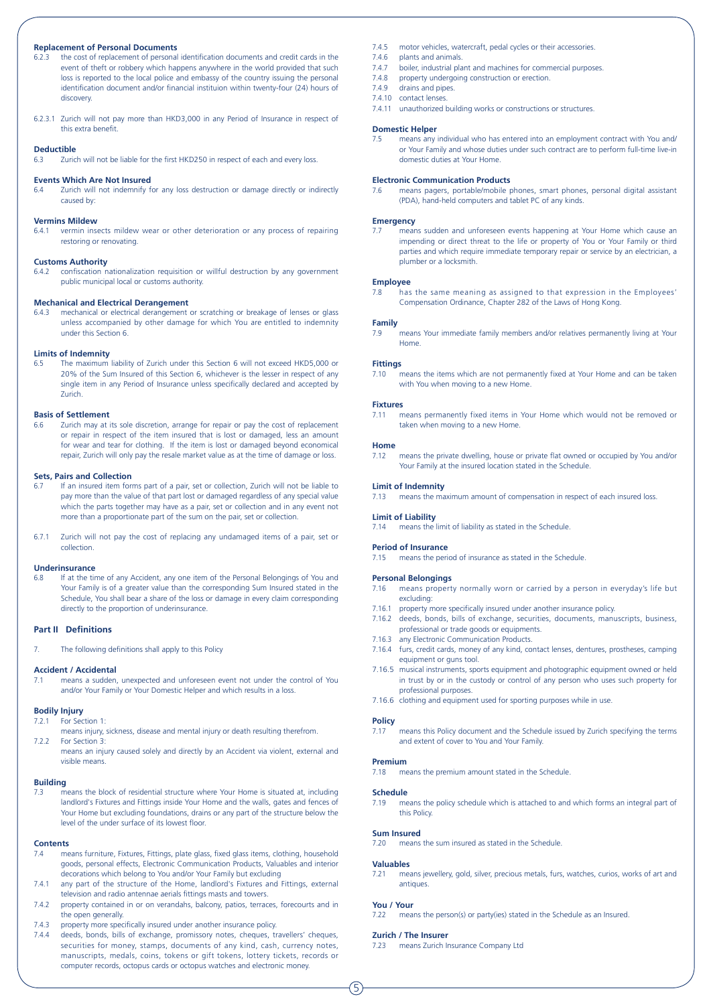#### **Replacement of Personal Documents**

- 6.2.3 the cost of replacement of personal identification documents and credit cards in the event of theft or robbery which happens anywhere in the world provided that such loss is reported to the local police and embassy of the country issuing the personal identification document and/or financial instituion within twenty-four (24) hours of discovery.
- 6.2.3.1 Zurich will not pay more than HKD3,000 in any Period of Insurance in respect of this extra benefit.

#### **Deductible**

6.3 Zurich will not be liable for the first HKD250 in respect of each and every loss.

#### **Events Which Are Not Insured**

6.4 Zurich will not indemnify for any loss destruction or damage directly or indirectly caused by:

#### **Vermins Mildew**

6.4.1 vermin insects mildew wear or other deterioration or any process of repairing restoring or renovating.

#### **Customs Authority**

6.4.2 confiscation nationalization requisition or willful destruction by any government public municipal local or customs authority.

#### **Mechanical and Electrical Derangement**

6.4.3 mechanical or electrical derangement or scratching or breakage of lenses or glass unless accompanied by other damage for which You are entitled to indemnity under this Section 6.

#### **Limits of Indemnity**

6.5 The maximum liability of Zurich under this Section 6 will not exceed HKD5,000 or 20% of the Sum Insured of this Section 6, whichever is the lesser in respect of any single item in any Period of Insurance unless specifically declared and accepted by Zurich.

#### **Basis of Settlement**

6.6 Zurich may at its sole discretion, arrange for repair or pay the cost of replacement or repair in respect of the item insured that is lost or damaged, less an amount for wear and tear for clothing. If the item is lost or damaged beyond economical repair, Zurich will only pay the resale market value as at the time of damage or loss.

#### **Sets, Pairs and Collection**

- 6.7 If an insured item forms part of a pair, set or collection, Zurich will not be liable to pay more than the value of that part lost or damaged regardless of any special value which the parts together may have as a pair, set or collection and in any event not more than a proportionate part of the sum on the pair, set or collection.
- 6.7.1 Zurich will not pay the cost of replacing any undamaged items of a pair, set or collection.

#### **Underinsurance**

6.8 If at the time of any Accident, any one item of the Personal Belongings of You and Your Family is of a greater value than the corresponding Sum Insured stated in the Schedule, You shall bear a share of the loss or damage in every claim corresponding directly to the proportion of underinsurance.

#### **Part II Definitions**

7. The following definitions shall apply to this Policy

#### **Accident / Accidental**

7.1 means a sudden, unexpected and unforeseen event not under the control of You and/or Your Family or Your Domestic Helper and which results in a loss.

#### **Bodily Injury**

- 7.2.1 For Section 1: means injury, sickness, disease and mental injury or death resulting therefrom.
- 7.2.2.2.2.2 For Section 3:

means an injury caused solely and directly by an Accident via violent, external and visible means.

#### **Building**

7.3 means the block of residential structure where Your Home is situated at, including landlord's Fixtures and Fittings inside Your Home and the walls, gates and fences of Your Home but excluding foundations, drains or any part of the structure below the level of the under surface of its lowest floor.

#### **Contents**

- 7.4 means furniture, Fixtures, Fittings, plate glass, fixed glass items, clothing, household goods, personal effects, Electronic Communication Products, Valuables and interior decorations which belong to You and/or Your Family but excluding
- 7.4.1 any part of the structure of the Home, landlord's Fixtures and Fittings, external television and radio antennae aerials fittings masts and towers.
- 7.4.2 property contained in or on verandahs, balcony, patios, terraces, forecourts and in the open generally.
- 7.4.3 property more specifically insured under another insurance policy.<br>7.4.4 deeds. bonds. bills of exchange. promissory notes. cheques. tr
- deeds, bonds, bills of exchange, promissory notes, cheques, travellers' cheques, securities for money, stamps, documents of any kind, cash, currency notes, manuscripts, medals, coins, tokens or gift tokens, lottery tickets, records or computer records, octopus cards or octopus watches and electronic money.
- 7.4.5 motor vehicles, watercraft, pedal cycles or their accessories.<br>7.4.6 plants and animals
- 7.4.6 plants and animals.<br>7.4.7 boiler industrial pla
- boiler, industrial plant and machines for commercial purposes.
- 7.4.8 property undergoing construction or erection.
- 7.4.9 drains and pipes. 7.4.10 contact lenses.
- 
- 7.4.11 unauthorized building works or constructions or structures.

#### **Domestic Helper**

7.5 means any individual who has entered into an employment contract with You and/ or Your Family and whose duties under such contract are to perform full-time live-in domestic duties at Your Home.

#### **Electronic Communication Products**

7.6 means pagers, portable/mobile phones, smart phones, personal digital assistant (PDA), hand-held computers and tablet PC of any kinds.

#### **Emergency**

means sudden and unforeseen events happening at Your Home which cause an impending or direct threat to the life or property of You or Your Family or third parties and which require immediate temporary repair or service by an electrician, a plumber or a locksmith.

#### **Employee**

7.8 has the same meaning as assigned to that expression in the Employees' Compensation Ordinance, Chapter 282 of the Laws of Hong Kong.

#### **Family**

7.9 means Your immediate family members and/or relatives permanently living at Your Home.

#### **Fittings**

7.10 means the items which are not permanently fixed at Your Home and can be taken with You when moving to a new Home.

#### **Fixtures**

7.11 means permanently fixed items in Your Home which would not be removed or taken when moving to a new Home.

## **Home**<br>7.12

means the private dwelling, house or private flat owned or occupied by You and/or Your Family at the insured location stated in the Schedule.

#### **Limit of Indemnity**

7.13 means the maximum amount of compensation in respect of each insured loss.

#### **Limit of Liability**

7.14 means the limit of liability as stated in the Schedule.

#### **Period of Insurance**

7.15 means the period of insurance as stated in the Schedule.

#### **Personal Belongings**

- 7.16 means property normally worn or carried by a person in everyday's life but excluding:
- 7.16.1 property more specifically insured under another insurance policy.
- 7.16.2 deeds, bonds, bills of exchange, securities, documents, manuscripts, business, professional or trade goods or equipments.
- 7.16.3 any Electronic Communication Products.
- 7.16.4 furs, credit cards, money of any kind, contact lenses, dentures, prostheses, camping equipment or guns tool.
- 7.16.5 musical instruments, sports equipment and photographic equipment owned or held in trust by or in the custody or control of any person who uses such property for professional purposes.
- 7.16.6 clothing and equipment used for sporting purposes while in use.

#### **Policy**

7.17 means this Policy document and the Schedule issued by Zurich specifying the terms and extent of cover to You and Your Family.

#### **Premium**

7.18 means the premium amount stated in the Schedule.

#### **Schedule**

7.19 means the policy schedule which is attached to and which forms an integral part of this Policy.

#### **Sum Insured**

7.20 means the sum insured as stated in the Schedule.

#### **Valuables**

7.21 means jewellery, gold, silver, precious metals, furs, watches, curios, works of art and antiques.

#### **You / Your**

7.22 means the person(s) or party(ies) stated in the Schedule as an Insured.

#### **Zurich / The Insurer**

7.23 means Zurich Insurance Company Ltd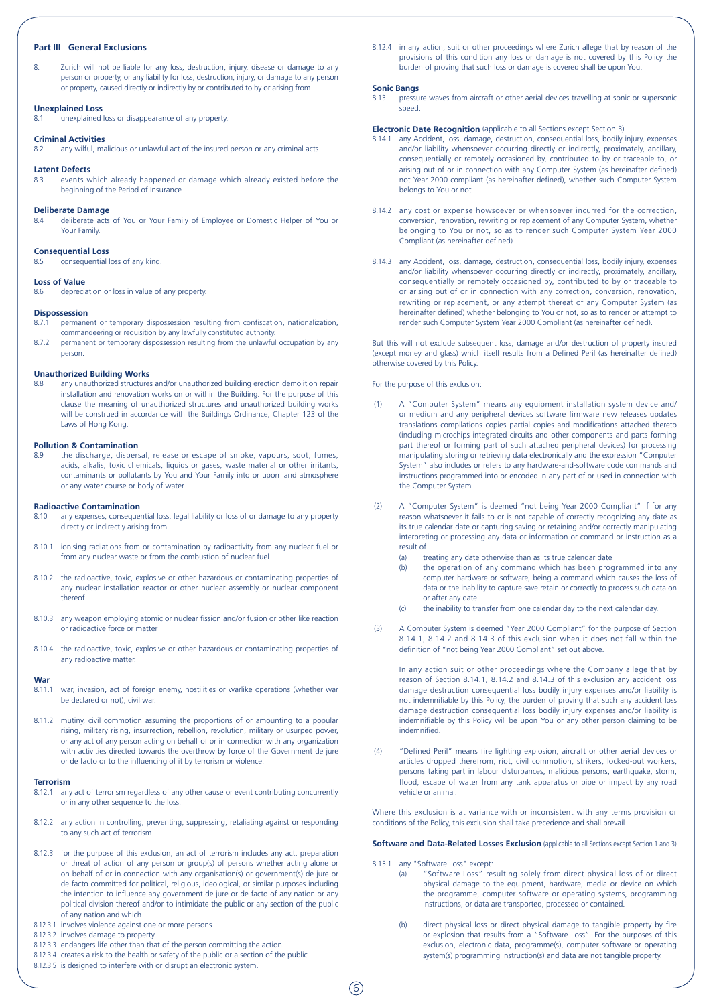#### **Part III General Exclusions**

8. Zurich will not be liable for any loss, destruction, injury, disease or damage to any person or property, or any liability for loss, destruction, injury, or damage to any person or property, caused directly or indirectly by or contributed to by or arising from

#### **Unexplained Loss**

8.1 unexplained loss or disappearance of any property.

#### **Criminal Activities**

8.2 any wilful, malicious or unlawful act of the insured person or any criminal acts.

#### **Latent Defects**

8.3 events which already happened or damage which already existed before the beginning of the Period of Insurance.

#### **Deliberate Damage**

8.4 deliberate acts of You or Your Family of Employee or Domestic Helper of You or Your Family.

#### **Consequential Loss** .<br>consequential loss of any kind.

**Loss of Value**<br>8.6 *dented***</del>** depreciation or loss in value of any property.

#### **Dispossession**

- 8.7.1 permanent or temporary dispossession resulting from confiscation, nationalization, commandeering or requisition by any lawfully constituted authority.
- 8.7.2 permanent or temporary dispossession resulting from the unlawful occupation by any person.

#### **Unauthorized Building Works**

8.8 any unauthorized structures and/or unauthorized building erection demolition repair installation and renovation works on or within the Building. For the purpose of this clause the meaning of unauthorized structures and unauthorized building works will be construed in accordance with the Buildings Ordinance, Chapter 123 of the Laws of Hong Kong.

#### **Pollution & Contamination**

the discharge, dispersal, release or escape of smoke, vapours, soot, fumes, acids, alkalis, toxic chemicals, liquids or gases, waste material or other irritants, contaminants or pollutants by You and Your Family into or upon land atmosphere or any water course or body of water.

## **Radioactive Contamination**<br>8.10 any expenses, conseque

- any expenses, consequential loss, legal liability or loss of or damage to any property directly or indirectly arising from
- 8.10.1 ionising radiations from or contamination by radioactivity from any nuclear fuel or from any nuclear waste or from the combustion of nuclear fuel
- 8.10.2 the radioactive, toxic, explosive or other hazardous or contaminating properties of any nuclear installation reactor or other nuclear assembly or nuclear component thereof
- 8.10.3 any weapon employing atomic or nuclear fission and/or fusion or other like reaction or radioactive force or matter
- 8.10.4 the radioactive, toxic, explosive or other hazardous or contaminating properties of any radioactive matter.

#### **War**

- 8.11.1 war, invasion, act of foreign enemy, hostilities or warlike operations (whether war be declared or not), civil war.
- 8.11.2 mutiny, civil commotion assuming the proportions of or amounting to a popular rising, military rising, insurrection, rebellion, revolution, military or usurped power, or any act of any person acting on behalf of or in connection with any organization with activities directed towards the overthrow by force of the Government de jure or de facto or to the influencing of it by terrorism or violence.

#### **Terrorism**

- 8.12.1 any act of terrorism regardless of any other cause or event contributing concurrently or in any other sequence to the loss.
- 8.12.2 any action in controlling, preventing, suppressing, retaliating against or responding to any such act of terrorism.
- 8.12.3 for the purpose of this exclusion, an act of terrorism includes any act, preparation or threat of action of any person or group(s) of persons whether acting alone or on behalf of or in connection with any organisation(s) or government(s) de jure or de facto committed for political, religious, ideological, or similar purposes including the intention to influence any government de jure or de facto of any nation or any political division thereof and/or to intimidate the public or any section of the public of any nation and which
- 8.12.3.1 involves violence against one or more persons
- 8.12.3.2 involves damage to property
- 8.12.3.3 endangers life other than that of the person committing the action
- 8.12.3.4 creates a risk to the health or safety of the public or a section of the public
- 8.12.3.5 is designed to interfere with or disrupt an electronic system.

8.12.4 in any action, suit or other proceedings where Zurich allege that by reason of the provisions of this condition any loss or damage is not covered by this Policy the burden of proving that such loss or damage is covered shall be upon You.

#### **Sonic Bangs**

8.13 pressure waves from aircraft or other aerial devices travelling at sonic or supersonic speed.

#### **Electronic Date Recognition** (applicable to all Sections except Section 3)

- 8.14.1 any Accident, loss, damage, destruction, consequential loss, bodily injury, expenses and/or liability whensoever occurring directly or indirectly, proximately, ancillary, consequentially or remotely occasioned by, contributed to by or traceable to, or arising out of or in connection with any Computer System (as hereinafter defined) not Year 2000 compliant (as hereinafter defined), whether such Computer System belongs to You or not.
- 8.14.2 any cost or expense howsoever or whensoever incurred for the correction, conversion, renovation, rewriting or replacement of any Computer System, whether belonging to You or not, so as to render such Computer System Year 2000 Compliant (as hereinafter defined).
- 8.14.3 any Accident, loss, damage, destruction, consequential loss, bodily injury, expenses and/or liability whensoever occurring directly or indirectly, proximately, ancillary, consequentially or remotely occasioned by, contributed to by or traceable to or arising out of or in connection with any correction, conversion, renovation, rewriting or replacement, or any attempt thereat of any Computer System (as hereinafter defined) whether belonging to You or not, so as to render or attempt to render such Computer System Year 2000 Compliant (as hereinafter defined).

But this will not exclude subsequent loss, damage and/or destruction of property insured (except money and glass) which itself results from a Defined Peril (as hereinafter defined) otherwise covered by this Policy.

#### For the purpose of this exclusion:

- A "Computer System" means any equipment installation system device and/ or medium and any peripheral devices software firmware new releases updates translations compilations copies partial copies and modifications attached thereto (including microchips integrated circuits and other components and parts forming part thereof or forming part of such attached peripheral devices) for processing manipulating storing or retrieving data electronically and the expression "Computer System" also includes or refers to any hardware-and-software code commands and instructions programmed into or encoded in any part of or used in connection with the Computer System
- (2) A "Computer System" is deemed "not being Year 2000 Compliant" if for any reason whatsoever it fails to or is not capable of correctly recognizing any date as its true calendar date or capturing saving or retaining and/or correctly manipulating interpreting or processing any data or information or command or instruction as a result of
	- (a) treating any date otherwise than as its true calendar date
	- (b) the operation of any command which has been programmed into any computer hardware or software, being a command which causes the loss of data or the inability to capture save retain or correctly to process such data on or after any date
	- (c) the inability to transfer from one calendar day to the next calendar day.
- (3) A Computer System is deemed "Year 2000 Compliant" for the purpose of Section 8.14.1, 8.14.2 and 8.14.3 of this exclusion when it does not fall within the definition of "not being Year 2000 Compliant" set out above.

In any action suit or other proceedings where the Company allege that by reason of Section 8.14.1, 8.14.2 and 8.14.3 of this exclusion any accident loss damage destruction consequential loss bodily injury expenses and/or liability is not indemnifiable by this Policy, the burden of proving that such any accident loss damage destruction consequential loss bodily injury expenses and/or liability is indemnifiable by this Policy will be upon You or any other person claiming to be indemnified.

 (4) "Defined Peril" means fire lighting explosion, aircraft or other aerial devices or articles dropped therefrom, riot, civil commotion, strikers, locked-out workers, persons taking part in labour disturbances, malicious persons, earthquake, storm, flood, escape of water from any tank apparatus or pipe or impact by any road vehicle or animal.

Where this exclusion is at variance with or inconsistent with any terms provision or conditions of the Policy, this exclusion shall take precedence and shall prevail.

#### **Software and Data-Related Losses Exclusion** (applicable to all Sections except Section 1 and 3)

- 8.15.1 any "Software Loss" except:
	- (a) "Software Loss" resulting solely from direct physical loss of or direct physical damage to the equipment, hardware, media or device on which the programme, computer software or operating systems, programming instructions, or data are transported, processed or contained.
	- (b) direct physical loss or direct physical damage to tangible property by fire or explosion that results from a "Software Loss". For the purposes of this exclusion, electronic data, programme(s), computer software or operating system(s) programming instruction(s) and data are not tangible property.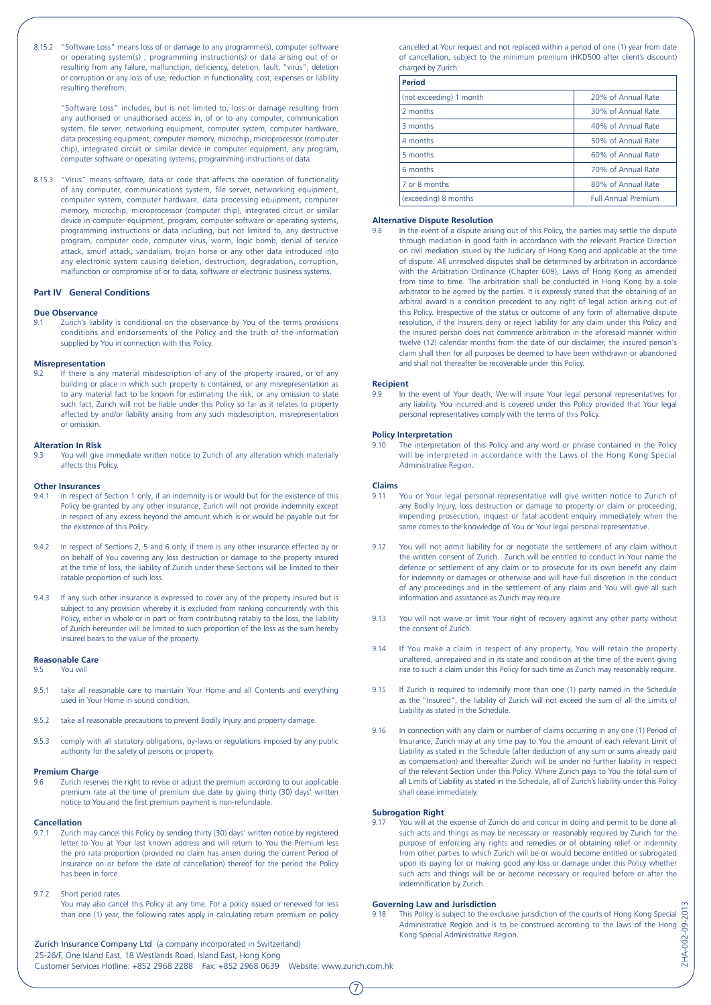8.15.2 "Software Loss" means loss of or damage to any programme(s), computer software or operating system(s) , programming instruction(s) or data arising out of or resulting from any failure, malfunction, deficiency, deletion, fault, "virus", deletion or corruption or any loss of use, reduction in functionality, cost, expenses or liability resulting therefrom.

"Software Loss" includes, but is not limited to, loss or damage resulting from any authorised or unauthorised access in, of or to any computer, communication system, file server, networking equipment, computer system, computer hardware, data processing equipment, computer memory, microchip, microprocessor (computer chip), integrated circuit or similar device in computer equipment, any program, computer software or operating systems, programming instructions or data.

8.15.3 "Virus" means software, data or code that affects the operation of functionality of any computer, communications system, file server, networking equipment, computer system, computer hardware, data processing equipment, computer memory, microchip, microprocessor (computer chip), integrated circuit or similar device in computer equipment, program, computer software or operating systems, programming instructions or data including, but not limited to, any destructive program, computer code, computer virus, worm, logic bomb, denial of service attack, smurf attack, vandalism, trojan horse or any other data introduced into any electronic system causing deletion, destruction, degradation, corruption, malfunction or compromise of or to data, software or electronic business systems.

#### **Part IV General Conditions**

#### **Due Observance**

9.1 Zurich's liability is conditional on the observance by You of the terms provisions conditions and endorsements of the Policy and the truth of the information supplied by You in connection with this Policy.

#### **Misrepresentation**

9.2 If there is any material misdescription of any of the property insured, or of any building or place in which such property is contained, or any misrepresentation as to any material fact to be known for estimating the risk, or any omission to state such fact, Zurich will not be liable under this Policy so far as it relates to property affected by and/or liability arising from any such misdescription, misrepresentation or omission.

#### **Alteration In Risk**

You will give immediate written notice to Zurich of any alteration which materially affects this Policy.

#### **Other Insurances**

- In respect of Section 1 only, if an indemnity is or would but for the existence of this Policy be granted by any other insurance, Zurich will not provide indemnity except in respect of any excess beyond the amount which is or would be payable but for the existence of this Policy.
- 9.4.2 In respect of Sections 2, 5 and 6 only, if there is any other insurance effected by or on behalf of You covering any loss destruction or damage to the property insured at the time of loss, the liability of Zurich under these Sections will be limited to their ratable proportion of such loss.
- 9.4.3 If any such other insurance is expressed to cover any of the property insured but is subject to any provision whereby it is excluded from ranking concurrently with this Policy, either in whole or in part or from contributing ratably to the loss, the liability of Zurich hereunder will be limited to such proportion of the loss as the sum hereby insured bears to the value of the property.

## **Reasonable Care**<br>9.5 You will

You will

- 9.5.1 take all reasonable care to maintain Your Home and all Contents and everything used in Your Home in sound condition.
- 9.5.2 take all reasonable precautions to prevent Bodily Injury and property damage.
- 9.5.3 comply with all statutory obligations, by-laws or regulations imposed by any public authority for the safety of persons or property.

#### **Premium Charge**

9.6 Zurich reserves the right to revise or adjust the premium according to our applicable premium rate at the time of premium due date by giving thirty (30) days' written notice to You and the first premium payment is non-refundable.

#### **Cancellation**

- 9.7.1 Zurich may cancel this Policy by sending thirty (30) days' written notice by registered letter to You at Your last known address and will return to You the Premium less the pro rata proportion (provided no claim has arisen during the current Period of Insurance on or before the date of cancellation) thereof for the period the Policy has been in force.
- 9.7.2 Short period rates

You may also cancel this Policy at any time. For a policy issued or renewed for less than one (1) year, the following rates apply in calculating return premium on policy

Zurich Insurance Company Ltd (a company incorporated in Switzerland) 25-26/F, One Island East, 18 Westlands Road, Island East, Hong Kong Customer Services Hotline: +852 2968 2288 Fax: +852 2968 0639 Website: www.zurich.com.hk

cancelled at Your request and not replaced within a period of one (1) year from date of cancellation, subject to the minimum premium (HKD500 after client's discount) charged by Zurich:

| <b>Period</b>           |                            |
|-------------------------|----------------------------|
| (not exceeding) 1 month | 20% of Annual Rate         |
| 2 months                | 30% of Annual Rate         |
| 3 months                | 40% of Annual Rate         |
| 4 months                | 50% of Annual Rate         |
| 5 months                | 60% of Annual Rate         |
| 6 months                | 70% of Annual Rate         |
| 7 or 8 months           | 80% of Annual Rate         |
| (exceeding) 8 months    | <b>Full Annual Premium</b> |

#### **Alternative Dispute Resolution**

In the event of a dispute arising out of this Policy, the parties may settle the dispute through mediation in good faith in accordance with the relevant Practice Direction on civil mediation issued by the Judiciary of Hong Kong and applicable at the time of dispute. All unresolved disputes shall be determined by arbitration in accordance with the Arbitration Ordinance (Chapter 609), Laws of Hong Kong as amended from time to time. The arbitration shall be conducted in Hong Kong by a sole arbitrator to be agreed by the parties. It is expressly stated that the obtaining of an arbitral award is a condition precedent to any right of legal action arising out of this Policy. Irrespective of the status or outcome of any form of alternative dispute resolution, if the Insurers deny or reject liability for any claim under this Policy and the insured person does not commence arbitration in the aforesaid manner within twelve (12) calendar months from the date of our disclaimer, the insured person's claim shall then for all purposes be deemed to have been withdrawn or abandoned and shall not thereafter be recoverable under this Policy.

#### **Recipient**

9.9 In the event of Your death, We will insure Your legal personal representatives for any liability You incurred and is covered under this Policy provided that Your legal personal representatives comply with the terms of this Policy.

#### **Policy Interpretation**

9.10 The interpretation of this Policy and any word or phrase contained in the Policy will be interpreted in accordance with the Laws of the Hong Kong Special Administrative Region.

#### **Claims**

- You or Your legal personal representative will give written notice to Zurich of any Bodily Injury, loss destruction or damage to property or claim or proceeding, impending prosecution, inquest or fatal accident enquiry immediately when the same comes to the knowledge of You or Your legal personal representative.
- 9.12 You will not admit liability for or negotiate the settlement of any claim without the written consent of Zurich. Zurich will be entitled to conduct in Your name the defence or settlement of any claim or to prosecute for its own benefit any claim for indemnity or damages or otherwise and will have full discretion in the conduct of any proceedings and in the settlement of any claim and You will give all such information and assistance as Zurich may require.
- 9.13 You will not waive or limit Your right of recovery against any other party without the consent of Zurich.
- 9.14 If You make a claim in respect of any property, You will retain the property unaltered, unrepaired and in its state and condition at the time of the event giving rise to such a claim under this Policy for such time as Zurich may reasonably require.
- 9.15 If Zurich is required to indemnify more than one (1) party named in the Schedule as the "Insured", the liability of Zurich will not exceed the sum of all the Limits of Liability as stated in the Schedule.
- 9.16 In connection with any claim or number of claims occurring in any one (1) Period of Insurance, Zurich may at any time pay to You the amount of each relevant Limit of Liability as stated in the Schedule (after deduction of any sum or sums already paid as compensation) and thereafter Zurich will be under no further liability in respect of the relevant Section under this Policy. Where Zurich pays to You the total sum of all Limits of Liability as stated in the Schedule, all of Zurich's liability under this Policy shall cease immediately.

#### **Subrogation Right**

7

9.17 You will at the expense of Zurich do and concur in doing and permit to be done all such acts and things as may be necessary or reasonably required by Zurich for the purpose of enforcing any rights and remedies or of obtaining relief or indemnity from other parties to which Zurich will be or would become entitled or subrogated upon its paying for or making good any loss or damage under this Policy whether such acts and things will be or become necessary or required before or after the indemnification by Zurich.

#### **Governing Law and Jurisdiction**

ZHA-002-09-2013 9.18 This Policy is subject to the exclusive jurisdiction of the courts of Hong Kong Special ZHA-002-09-20 Administrative Region and is to be construed according to the laws of the Hong Kong Special Administrative Region.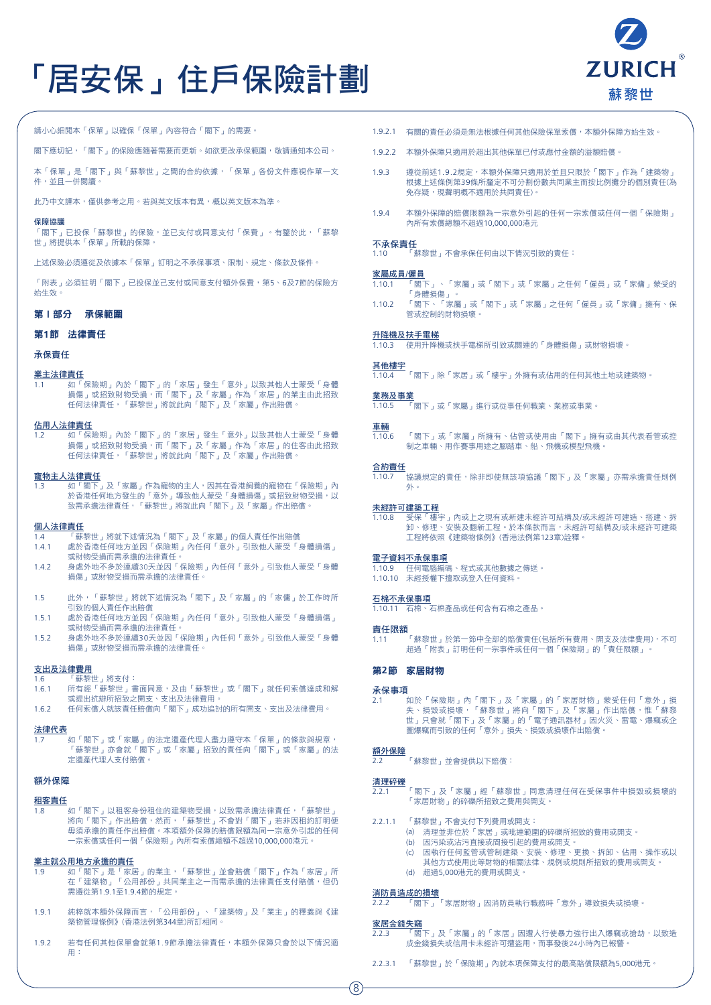# 「居安保」住戶保險計劃



請小心細閱本「保單」以確保「保單」內容符合「閣下」的需要。

閣下應切記,「閣下」的保險應隨著需要而更新。如欲更改承保範圍,敬請通知本公司。

本「保單」是「閣下」與「蘇黎世」之間的合約依據,「保單」各份文件應視作單一文 件,並且一併閱讀。

此乃中文譯本,僅供參考之用。若與英文版本有異,概以英文版本為準。

#### 保障協議

,..............<br>「閣下」已投保「蘇黎世」的保險,並已支付或同意支付「保費」。有鑒於此,「蘇黎 世」將提供本「保單」所載的保障。

上述保險必須遵從及依據本「保單」訂明之不承保事項、限制、規定、條款及條件。

「附表」必須註明「閣下」已投保並己支付或同意支付額外保費,第5、6及7節的保險方 始生效。

#### 第1部分 承保範圍

#### 第**1**節 法律責任

承保責任

#### 業主法律責任

-----<br>如「保險期」內於「閣下」的「家居」發生「意外」以致其他人士蒙受「身體 損傷」或招致財物受損,而「閣下」及「家屬」作為「家居」的業主由此招致 任何法律責任,「蘇黎世」將就此向「閣下」及「家屬」作出賠償。

#### 佔用人法律責任

1.2 如「保險期」內於「閣下」的「家居」發生「意外」以致其他人士蒙受「身體 損傷」或招致財物受損,而「閣下」及「家屬」作為「家居」的住客由此招致 任何法律責任,「蘇黎世」將就此向「閣下」及「家屬」作出賠償。

# **寵物主人法律責任**<br>1.3 如「閣下

1.3 如「閣下」及「家屬」作為寵物的主人,因其在香港飼養的寵物在「保險期」內 於香港任何地方發生的「意外」導致他人蒙受「身體損傷」或招致財物受損,以 致需承擔法律責任,「蘇黎世」將就此向「閣下」及「家屬」作出賠償。

#### 個人法律責任

- 1.4 「蘇黎世」將就下述情況為「閣下」及「家屬」的個人責任作出賠償
- 1.4.1 處於香港任何地方並因「保險期」內任何「意外」引致他人蒙受「身體損傷」 或財物受損而需承擔的法律責任。
- 1.4.2 身處外地不多於連續30天並因「保險期」內任何「意外」引致他人蒙受「身體 損傷」或財物受損而需承擔的法律責任。
- 1.5 此外,「蘇黎世」將就下述情況為「閣下」及「家屬」的「家傭」於工作時所 引致的個人責任作出賠償
- 1.5.1 處於香港任何地方並因「保險期」內任何「意外」引致他人蒙受「身體損傷」 或財物受損而需承擔的法律責任。
- 1.5.2 身處外地不多於連續30天並因「保險期」內任何「意外」引致他人蒙受「身體 損傷」或財物受損而需承擔的法律責任。

#### 支出及法律費用

#### 1.6 「蘇黎世」將支付:

- 1.6.1 所有經「蘇黎世」書面同意,及由「蘇黎世」或「閣下」就任何索償達成和解 或提出抗辯所招致之開支、支出及法律費用。
- 1.6.2 任何索償人就該責任賠償向「閣下」成功追討的所有開支、支出及法律費用。

#### 法律代表

1.7 如「閣下」或「家屬」的法定遺產代理人盡力遵守本「保單」的條款與規章, 「蘇黎世」亦會就「閣下」或「家屬」招致的責任向「閣下」或「家屬」的法 定遺產代理人支付賠償。

#### 額外保障

#### 租客責任

-<br>如「閣下 」 以租客身份租住的建築物受損,以致需承擔法律責任,「蘇黎世 」 將向「閣下」作出賠償,然而,「蘇黎世」不會對「閣下」若非因租約訂明便 毋須承擔的責任作出賠償。本項額外保障的賠償限額為同一宗意外引起的任何 一宗索償或任何一個「保險期」內所有索償總額不超過10,000,000港元。

#### 業主就公用地方承擔的責任

- 1.9 如「閣下」是「家居」的業主,「蘇黎世」並會賠償「閣下」作為「家居」所 在「建築物 」「公用部份 」共同業主之一而需承擔的法律責任支付賠償,但仍 需遵從第1.9.1至1.9.4節的規定。
- 1.9.1 純粹就本額外保障而言,「公用部份」、「建築物」及「業主」的釋義與《建 築物管理條例》(香港法例第344章)所訂相同。
- 1.9.2 若有任何其他保單會就第1.9節承擔法律責任,本額外保障只會於以下情況適 用:
- 1.9.2.1 有關的責任必須是無法根據任何其他保險保單索償,本額外保障方始生效。
- 1.9.2.2 本額外保障只適用於超出其他保單已付或應付金額的溢額賠償。
- 1.9.3 遵從前述1.9.2規定,本額外保障只適用於並且只限於「閣下」作為「建築物」 根據上述條例第39條所釐定不可分割份數共同業主而按比例攤分的個別責任(為 免存疑,現聲明概不適用於共同責任)。
- 1.9.4 本額外保障的賠償限額為一宗意外引起的任何一宗索償或任何一個「保險期」 內所有索償總額不超過10,000,000港元

#### 不承保責任

1.10 「蘇黎世」不會承保任何由以下情況引致的責任:

#### 家屬成員/僱員

- 1.10.1 「閣下」、「家屬」或「閣下」或「家屬」之任何「僱員」或「家傭」蒙受的 「身體損傷」。
- 1.10.2 「閣下、「家屬」或「閣下」或「家屬」之任何「僱員」或「家傭」擁有、保 管或控制的財物損壞。

#### 升降機及扶手電梯

1.10.3 使用升降機或扶手電梯所引致或關連的「身體損傷」或財物損壞。

#### 其他樓宇

1.10.4 「閣下」除「家居」或「樓宇」外擁有或佔用的任何其他土地或建築物。

#### 業務及事業

1.10.5 「閣下」或「家屬」進行或從事任何職業、業務或事業。

#### 車輛

1.10.6 「閣下」或「家屬」所擁有、佔管或使用由「閣下」擁有或由其代表看管或控 制之車輛、用作賽事用途之腳踏車、船、飛機或模型飛機。

#### 合約責任

<u>」。<br>1.10.7 協議規定的責任,除非即使無該項協議「閣下」及「家屬」亦需承擔責任則例</u> 外。

#### 未經許可建築工程

1.10.8 受保「樓宇」內或上之現有或新建未經許可結構及/或未經許可建造、搭建、拆 卸、修理、安裝及翻新工程。於本條款而言,未經許可結構及/或未經許可建築 工程將依照《建築物條例》(香港法例第123章)詮釋。

#### 電子資料不承保事項

<u>1.10.9 任何電腦編碼、程式或其他數據之傳</u>送。<br>1.10.9 任何電腦編碼、程式或其他數據之傳送。 1.10.10 未經授權下擅取或登入任何資料。

#### 石棉不承保事項

1.10.11 石棉、石棉產品或任何含有石棉之產品。

**責任限額**<br>1.11 「蘇黎世」於第一節中全部的賠償責任(包括所有費用、開支及法律費用),不可 超過「附表」訂明任何一宗事件或任何一個「保險期」的「責任限額」。

#### 第**2**節 家居財物

#### 承保事項

2.1 如於「保險期」內「閣下」及「家屬」的「家居財物」蒙受任何「意外」損 失、損毀或損壞,「蘇黎世」將向「閣下」及「家屬」作出賠償,惟「蘇黎 世」只會就「閣下」及「家屬」的「電子通訊器材」因火災、雷電、爆竊或企 圖爆竊而引致的任何「意外」損失、損毀或損壞作出賠償。

#### 額外保障

2.2 「蘇黎世」並會提供以下賠償:

#### 清理碎礫

- 「閣下」及「家屬」經「蘇黎世」同意清理任何在受保事件中損毀或損壞的 「家居財物」的碎礫所招致之費用與開支。
- 2.2.1.1 「蘇黎世」不會支付下列費用或開支:
	- (a) 清理並非位於「家居」或毗連範圍的碎礫所招致的費用或開支。
		- (b) 因污染或沾污直接或間接引起的費用或開支。
		- (c) 因執行任何監管或管制建築、安裝、修理、更換、拆卸、佔用、操作或以 其他方式使用此等財物的相關法律、規例或規則所招致的費用或開支。
		- (d) 超過5,000港元的費用或開支。

#### 消防員造成的損壞

2.2.2 「閣下」「家居財物」因消防員執行職務時「意外」導致損失或損壞。

#### 家居金錢失竊

- 2.2.3 「閣下」及「家屬」的「家居」因遭人行使暴力強行出入爆竊或搶劫,以致造 成金錢損失或信用卡未經許可遭盜用,而事發後24小時內已報警。
- 2.2.3.1 「蘇黎世」於「保險期」內就本項保障支付的最高賠償限額為5,000港元。

8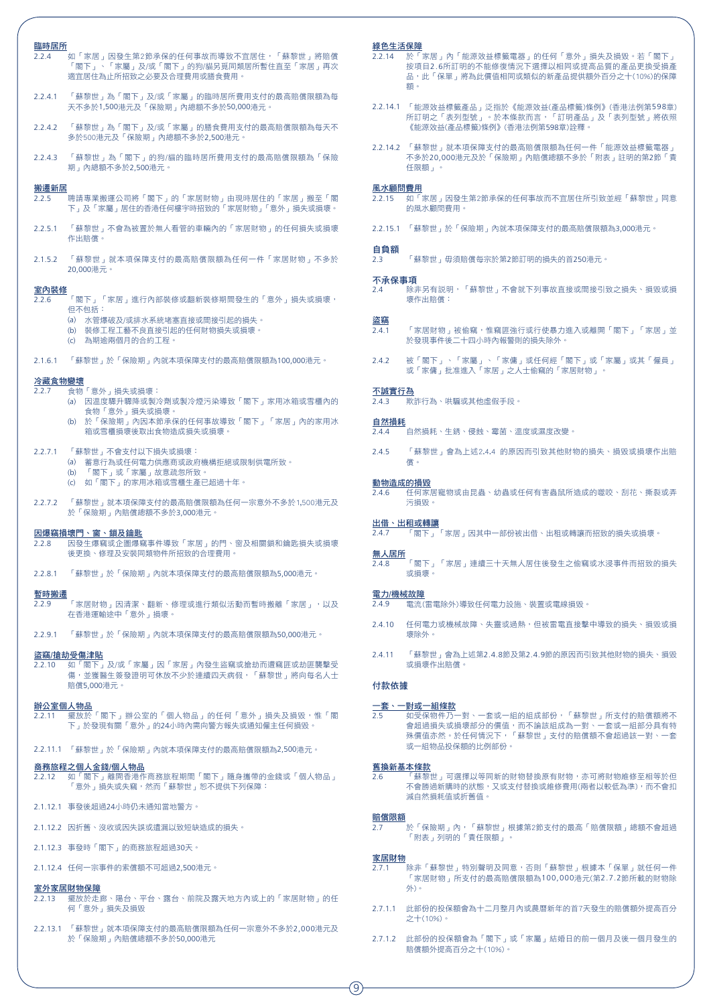| 臨時居所<br>2.2.4     | 如「家居」因發生第2節承保的任何事故而導致不宜居住,「蘇黎世」將賠償<br>「閣下」、「家屬」及/或「閣下」的狗/貓另覓同類居所暫住直至「家居」再次              |  |
|-------------------|-----------------------------------------------------------------------------------------|--|
|                   | 適宜居住為止所招致之必要及合理費用或膳食費用。                                                                 |  |
| 2.2.4.1           | 「蘇黎世」為「閣下」及/或「家屬」的臨時居所費用支付的最高賠償限額為每<br>天不多於1,500港元及「保險期」內總額不多於50,000港元。                 |  |
| 2.2.4.2           | 「蘇黎世」為「閣下」及/或「家屬」的膳食費用支付的最高賠償限額為每天不<br>多於500港元及「保險期」內總額不多於2,500港元。                      |  |
| 2.2.4.3           | 「蘇黎世」為「閣下」的狗/貓的臨時居所費用支付的最高賠償限額為「保險<br>期 - 內總額不多於2,500港元。                                |  |
| 搬遷新居              |                                                                                         |  |
| 2.2.5             | 聘請專業搬運公司將「閣下」的「家居財物」由現時居住的「家居」搬至「閣<br>下」及「家屬」居住的香港任何樓宇時招致的「家居財物」「意外」損失或損壞。              |  |
| 2.2.5.1           | 「蘇黎世」不會為被置於無人看管的車輛內的「家居財物」的任何損失或損壞<br>作出賠償。                                             |  |
| 2.1.5.2           | 「蘇黎世」就本項保障支付的最高賠償限額為任何一件「家居財物」不多於<br>20.000港元。                                          |  |
| 室内裝修              |                                                                                         |  |
| 2.2.6             | 「閣下」「家居」進行內部裝修或翻新裝修期間發生的「意外」損失或損壞,<br>但不包括:                                             |  |
|                   | 水管爆破及/或排水系統堵塞直接或間接引起的損失。<br>(a)                                                         |  |
|                   | 裝修工程工藝不良直接引起的仟何財物損失或損壞。<br>(b)<br>為期逾兩個月的合約工程。<br>(c)                                   |  |
| 2.1.6.1           | 「蘇黎世」於「保險期」內就本項保障支付的最高賠償限額為100,000港元。                                                   |  |
| 冷藏食物變壞            |                                                                                         |  |
| 2.2.7             | 食物「意外」損失或損壞:<br>因溫度驟升驟降或製冷劑或製冷煙污染導致「閣下」家用冰箱或雪櫃內的<br>(a)                                 |  |
|                   | 食物「意外」損失或損壞。                                                                            |  |
|                   | 於「保險期」內因本節承保的任何事故導致「閣下」「家居」內的家用冰<br>(b)<br>箱或雪櫃損壞後取出食物造成損失或損壞。                          |  |
| 2.2.7.1           | 「蘇黎世」不會支付以下損失或損壞:                                                                       |  |
|                   | 蓄意行為或任何電力供應商或政府機構拒絕或限制供電所致。<br>(a)<br>「閣下」或「家屬」故意疏忽所致。                                  |  |
|                   | (b)<br>如「閣下」的家用冰箱或雪櫃生產已超過十年。<br>$\mathcal{L}(\mathsf{C})$                               |  |
| 2.2.7.2           | 「蘇黎世」就本項保障支付的最高賠償限額為任何一宗意外不多於1,500港元及<br>於「保險期」內賠償總額不多於3,000港元。                         |  |
| 2.2.8             | 因爆竊損壞門、窗、鎖及鑰匙<br>因發生爆竊或企圖爆竊事件導致「家居」的門、窗及相關鎖和鑰匙損失或損壞<br>後更換、修理及安裝同類物件所招致的合理費用。           |  |
|                   | 2.2.8.1 「蘇黎世」於「保險期」內就本項保障支付的最高賠償限額為5,000港元。                                             |  |
| 暫時搬遷<br>2.2.9     | 「家居財物」因清潔、翻新、修理或進行類似活動而暫時搬離「家居」,以及<br>在香港運輸途中「意外」損壞。                                    |  |
| 2.2.9.1           | 「蘇黎世」於「保險期」內就本項保障支付的最高賠償限額為50,000港元。                                                    |  |
| 盜竊/搶劫受傷津貼         |                                                                                         |  |
| 2.2.10            | 如「閣下」及/或「家屬」因「家居」內發生盜竊或搶劫而遭竊匪或劫匪襲擊受<br>傷,並獲醫生簽發證明可休放不少於連續四天病假,「蘇黎世」將向每名人士<br>賠償5,000港元。 |  |
| 辦公室個人物品<br>2.2.11 | 擺放於「閣下」辦公室的「個人物品」的任何「意外」損失及損毀,惟「閣<br>下」於發現有關「意外」的24小時內需向警方報失或通知僱主任何損毀。                  |  |
|                   | 2.2.11.1 「蘇黎世」於「保險期」內就本項保障支付的最高賠償限額為2,500港元。                                            |  |
| 2.2.12            | 商務旅程之個人金錢/個人物品<br>如「閣下」離開香港作商務旅程期間「閣下」隨身攜帶的金錢或「個人物品」<br>「意外」損失或失竊,然而「蘇黎世」恕不提供下列保障:      |  |
|                   | 2.1.12.1 事發後超過24小時仍未通知當地警方。                                                             |  |
|                   | 2.1.12.2 因折舊、沒收或因失誤或遺漏以致短缺造成的損失。                                                        |  |
|                   | 2.1.12.3 事發時「閣下」的商務旅程超過30天。                                                             |  |
|                   | 2.1.12.4 任何一宗事件的索償額不可超過2,500港元。                                                         |  |
| 室外家居財物保障          |                                                                                         |  |
| 2.2.13            | 擺放於走廊、陽台、平台、露台、前院及露天地方內或上的「家居財物」的任<br>何「意外」損失及損毀                                        |  |
|                   | 2.2.13.1 「蘇黎世」就本項保障支付的最高賠償限額為任何一宗意外不多於2,000港元及<br>於「保險期」內賠償總額不多於50,000港元                |  |

#### 綠色生活保障

- 2.2.14 於「家居」內「能源效益標籤電器」的任何「意外」損失及損毀。若「閣下」 按項目2.6所訂明的不能修復情況下選擇以相同或提高品質的產品更換受損產 品,此「保單」將為此價值相同或類似的新產品提供額外百分之十(10%)的保障 額。
- 2.2.14.1 「能源效益標籤產品」泛指於《能源效益(產品標籤)條例》(香港法例第598章) 所訂明之「表列型號」。於本條款而言,「訂明產品」及「表列型號」將依照 《能源效益(產品標籤)條例》(香港法例第598章)詮釋。
- 2.2.14.2 「蘇黎世」就本項保障支付的最高賠償限額為任何一件「能源效益標籤電器」 不多於20,000港元及於「保險期」內賠償總額不多於「附表」註明的第2節「責 任限額」。

#### 風水顧問費用

- 2.2.15 如「家居」因發生第2節承保的任何事故而不宜居住所引致並經「蘇黎世」同意 的風水顧問費用。
- 2.2.15.1 「蘇黎世」於「保險期」內就本項保障支付的最高賠償限額為3,000港元。
- 自負額 2.3 「蘇黎世」毋須賠償每宗於第2節訂明的損失的首250港元。

#### 不承保事項

2.4 除非另有說明,「蘇黎世」不會就下列事故直接或間接引致之損失、損毀或損 壞作出賠償:

#### 盜竊

- 2.4.1 「家居財物」被偷竊,惟竊匪強行或行使暴力進入或離開「閣下」「家居」並 於發現事件後二十四小時內報警則的損失除外。
- 2.4.2 被「閣下」、「家屬」、「家傭」或任何經「閣下」或「家屬」或其「僱員」 或「家傭」批准進入「家居」之人士偷竊的「家居財物」。

#### 不誠實行為

2.4.3 欺詐行為、哄騙或其他虛假手段。

#### 自然損耗

- 2.4.4 自然損耗、生銹、侵蝕、霉菌、溫度或濕度改變。
- 2.4.5 「蘇黎世」會為上述2.4.4 的原因而引致其他財物的損失、損毀或損壞作出賠 償。

#### 動物造成的損毀

2.4.6 任何家居寵物或由昆蟲、幼蟲或任何有害蟲鼠所造成的噬咬、刮花、撕裂或弄 污損毀。

#### 出借、出租或轉讓

2.4.7 「閣下」「家居」因其中一部份被出借、出租或轉讓而招致的損失或損壞。

#### 無人居所

2.4.8 「閣下」「家居」連續三十天無人居住後發生之偷竊或水浸事件而招致的損失 或損壞。

#### 電力/機械故障

- 2.4.9 電流(雷電除外)導致任何電力設施、裝置或電線損毀。
- 2.4.10 任何電力或機械故障、失靈或過熱,但被雷電直接擊中導致的損失、損毀或損 壞除外。
- 2.4.11 「蘇黎世」會為上述第2.4.8節及第2.4.9節的原因而引致其他財物的損失、損毀 或損壞作出賠償。

#### 付款依據

#### 一套、一對或一組條款

2.5 如受保物件乃一對、一套或一組的組成部份,「蘇黎世」所支付的賠償額將不 會超過損失或損壞部分的價值,而不論該組成為一對、一套或一組部分具有特 殊價值亦然。於任何情況下,「蘇黎世」支付的賠償額不會超過該一對、一套 或一組物品投保額的比例部份。

#### 舊換新基本條款

-------<br>蘇黎世」可選擇以等同新的財物替換原有財物,亦可將財物維修至相等於但 不會勝過新購時的狀態,又或支付替換或維修費用(兩者以較低為準),而不會扣 減自然損耗值或折舊值。

#### 賠償限額

-----------<br>2.7 於「保險期」內,「蘇黎世」根據第2節支付的最高「賠償限額」總額不會超過 「附表」列明的「責任限額」。 

#### 家居財物

- 2.7.1 除非「蘇黎世」特別聲明及同意,否則「蘇黎世」根據本「保單」就任何一件 「家居財物」所支付的最高賠償限額為100,000港元(第2.7.2節所載的財物除 外)。
- 2.7.1.1 此部份的投保額會為十二月整月內或農曆新年的首7天發生的賠償額外提高百分 之十(10%)。
- 2.7.1.2 此部份的投保額會為「閣下」或「家屬」結婚日的前一個月及後一個月發生的 賠償額外提高百分之十(10%)。

9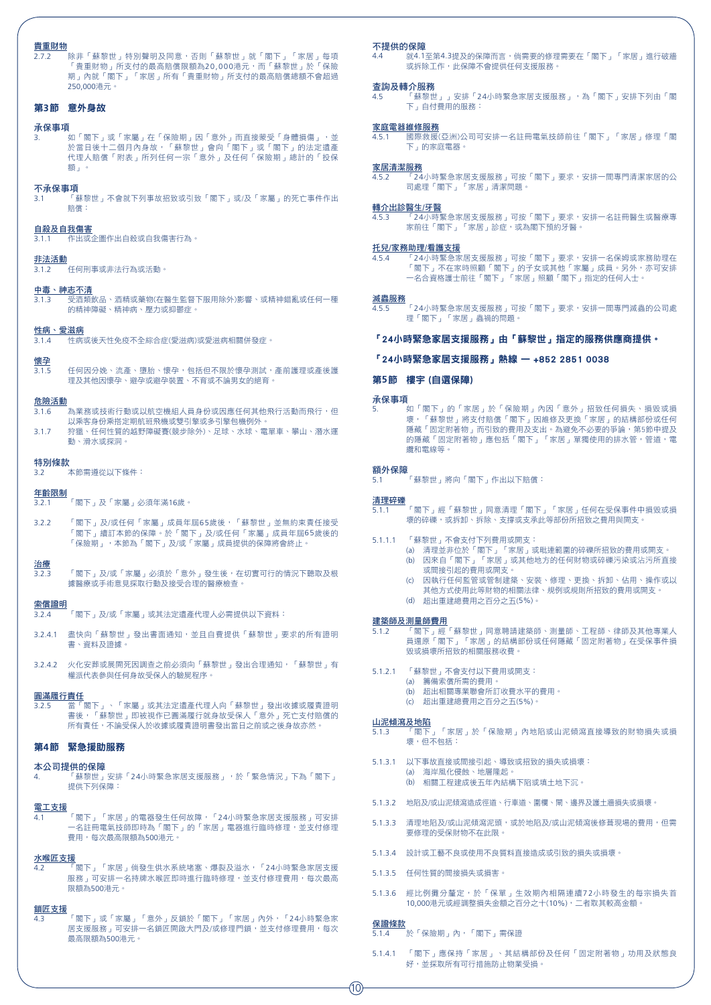#### 貴重財物

2.7.2 除非「蘇黎世」特別聲明及同意,否則「蘇黎世」就「閣下」「家居」每項 「貴重財物」所支付的最高賠償限額為20,000港元,而「蘇黎世」於「保險 期」內就「閣下」「家居」所有「貴重財物」所支付的最高賠償總額不會超過 250,000港元。

#### 第**3**節 意外身故

#### 承保事項

**、**<br>如「閣下」或「家屬」在「保險期」因「意外」而直接蒙受「身體損傷」,並 於當日後十二個月內身故,「蘇黎世」會向「閣下」或「閣下」的法定遺產 代理人賠償「附表」所列任何一宗「意外」及任何「保險期」總計的「投保 額」。

#### 不承保事項

3.1 「蘇黎世」不會就下列事故招致或引致「閣下」或/及「家屬」的死亡事件作出 賠償:

#### 自殺及自我傷害

3.1.1 作出或企圖作出自殺或自我傷害行為。

### 非法活動

3.1.2 任何刑事或非法行為或活動。

## 中毒、神志不清

3.1.3 受酒類飲品、酒精或藥物(在醫生監督下服用除外)影響、或精神錯亂或任何一種 的精神障礙、精神病、壓力或抑鬱症。

#### 性病、愛滋病

3.1.4 性病或後天性免疫不全綜合症(愛滋病)或愛滋病相關併發症。

## 懷孕

任何因分娩、流產、墮胎、懷孕,包括但不限於懷孕測試,產前護理或產後護 理及其他因懷孕、避孕或避孕裝置、不育或不論男女的絕育。

#### 危險活動

- -----------<br>3.1.6 為業務或技術行動或以航空機組人員身份或因應任何其他飛行活動而飛行,但 以乘客身份乘搭定期航班飛機或雙引擎或多引擎包機例外。
- 3.1.7 狩獵、任何性質的越野障礙賽(競步除外)、足球、水球、電單車、攀山、潛水運 動、滑水或探洞。

#### 特別條款

- 2.3.2.........<br>3.2 本節需遵從以下條件:

#### 年齡限制

- 3.2.1 「閣下」及「家屬」必須年滿16歲。
- 3.2.2 「閣下」及/或任何「家屬」成員年屆65歲後,「蘇黎世」並無約束責任接受 「閣下」續訂本節的保障。於「閣下」及/或任何「家屬」成員年屆65歲後的 - 『コンスト』, 『コンスト』, 『コンスト』, 『コンスト』, 『コンスト』。<br>「保險期」, 本節為「閣下」及/或「家屬」成員提供的保障將會終止。
- 治療 ------<br>3.2.3 「閣下」及/或「家屬」必須於「意外」發生後,在切實可行的情況下聽取及根 據醫療或手術意見採取行動及接受合理的醫療檢查。

#### 索償證明

- 3.2.4 「閣下」及/或「家屬」或其法定遺產代理人必需提供以下資料:
- 3.2.4.1 盡快向「蘇黎世」發出書面通知,並且自費提供「蘇黎世」要求的所有證明 書、資料及證據。
- 3.2.4.2 火化安葬或展開死因調查之前必須向「蘇黎世」發出合理通知,「蘇黎世」有 權派代表參與任何身故受保人的驗屍程序。

#### 圓滿履行責任

3.2.5 當「閣下」、「家屬」或其法定遺產代理人向「蘇黎世」發出收據或履責證明 書後,「蘇黎世」即被視作已圓滿履行就身故受保人「意外」死亡支付賠償的 所有責任,不論受保人於收據或履責證明書發出當日之前或之後身故亦然。

#### 第**4**節 緊急援助服務

#### 本公司提供的保障

4. 「蘇黎世」安排「24小時緊急家居支援服務」,於「緊急情況」下為「閣下」 提供下列保障:

#### 電工支援

4.1 「閣下」「家居」的電器發生任何故障,「24小時緊急家居支援服務」可安排 一名註冊電氣技師即時為「閣下」的「家居」電器進行臨時修理,並支付修理 費用,每次最高限額為500港元。

#### 水喉匠支援

4.2 「閣下」「家居」倘發生供水系統堵塞、爆裂及溢水,「24小時緊急家居支援 服務」可安排一名持牌水喉匠即時進行臨時修理,並支付修理費用,每次最高 限額為500港元。

#### 鎖匠支援

4.3 「閣下」或「家屬」「意外」反鎖於「閣下」「家居」內外,「24小時緊急家 居支援服務」可安排一名鎖匠開啟大門及/或修理門鎖,並支付修理費用,每次 最高限額為500港元。

#### 不提供的保障

....<br>就4.1至第4.3提及的保障而言,倘需要的修理需要在「閣下 」「家居 」進行破牆 或拆除工作,此保障不會提供任何支援服務。

## 查詢及轉介服務<br>4.5 「蘇黎世

---------<br>「蘇黎世」」安排「24小時緊急家居支援服務 」,為「閣下」安排下列由「閣 下」自付費用的服務:

#### 家庭電器維修服務

4.5.1 國際救援(亞洲)公司可安排一名註冊電氣技師前往「閣下」「家居」修理「閣 下」的家庭電器。

#### 家居清潔服務

------<br>「24小時緊急家居支援服務」可按「閣下」要求,安排一間專門清潔家居的公 司處理「閣下」「家居」清潔問題。

#### 轉介出診醫生/牙醫

<u>————</u><br>「24小時緊急家居支援服務」可按「閣下」要求,安排一名註冊醫生或醫療專 家前往「閣下」「家居」診症,或為閣下預約牙醫。

#### 托兒/家務助理/看護支援

-----------------<br>24小時緊急家居支援服務」可按「閣下」要求,安排一名保姆或家務助理在 「閣下」不在家時照顧「閣下」的子女或其他「家屬」成員。另外,亦可安排 一名合資格護士前往「閣下」「家居」照顧「閣下」指定的任何人士。

#### 滅蟲服務

4.5.5 「24小時緊急家居支援服務」可按「閣下」要求,安排一間專門滅蟲的公司處 理「閣下」「家居」蟲禍的問題。

#### 「24小時緊急家居支援服務」由「蘇黎世」指定的服務供應商提供。

#### 「24小時緊急家居支援服務」熱線 — +852 2851 0038

#### 第**5**節 樓宇 (自選保障)

#### 承保事項

5. 如「閣下」的「家居」於「保險期」內因「意外」招致任何損失、損毀或損 壞,「蘇黎世」將支付賠償「閣下」因維修及更換「家居」的結構部份或任何 。<br>隱藏「固定附著物」而引致的費用及支出。為避免不必要的爭論,第5節中提及 的隱藏「固定附著物」應包括「閣下」「家居」單獨使用的排水管,管道,電 纜和電線等。

#### 額外保障 <u>。</u><br>「蘇黎世」將向「閣下」作出以下賠償:

#### 清理碎礫

- 5.1.1 「閣下」經「蘇黎世」同意清理「閣下」「家居」任何在受保事件中損毀或損 壞的碎礫,或拆卸、拆除、支撐或支承此等部份所招致之費用與開支。
- 5.1.1.1 「蘇黎世」不會支付下列費用或開支:
	- 。<br>(a) 清理並非位於「閣下」「家居」或毗連範圍的碎礫所招致的費用或開支。 (b) 因來自「閣下」「家居」或其他地方的任何財物或碎礫污染或沾污所直接 或間接引起的費用或開支。
	- (c) 因執行任何監管或管制建築、安裝、修理、更換、拆卸、佔用、操作或以 其他方式使用此等財物的相關法律、規例或規則所招致的費用或開支。 (d) 超出重建總費用之百分之五(5%)。

- 建築師及測量師費用 5.1.2 「閣下」經「蘇黎世」同意聘請建築師、測量師、工程師、律師及其他專業人 員還原「閣下」「家居」的結構部份或任何隱藏「固定附著物」在受保事件損 <sub>(</sub><br>毀或捐壞所招致的相關服務收費。
- 5.1.2.1 「蘇黎世」不會支付以下費用或開支:
	- (a) 籌備索償所需的費用。
		- (b) 超出相關專業聯會所訂收費水平的費用。
		- (c) 超出重建總費用之百分之五(5%)。

#### 山泥傾瀉及地陷

- ————————————————————<br>5.1.3 「閣下」「家居」於「保險期」內地陷或山泥傾瀉直接導致的財物損失或損 壞,但不包括:
- 5.1.3.1 以下事故直接或間接引起、導致或招致的損失或損壞: (a) 海岸風化侵蝕、地層隆起。 (b) 相關工程建成後五年內結構下陷或填土地下沉。
- 5.1.3.2 地陷及/或山泥傾瀉造成徑道、行車道、圍欄、閘、邊界及護土牆損失或損壞。
- 5.1.3.3 清理地陷及/或山泥傾瀉泥頭,或於地陷及/或山泥傾瀉後修葺現場的費用,但需 要修理的受保財物不在此限。
- 5.1.3.4 設計或工藝不良或使用不良質料直接造成或引致的損失或捐壞。
- 5.1.3.5 任何性質的間接損失或損害。
- 5.1.3.6 經比例攤分釐定,於「保單」生效期內相隔連續72小時發生的每宗損失首 10,000港元或經調整損失金額之百分之十(10%),二者取其較高金額。

## 保證條款<br>5.1.4

#### -<br>「於「保險期」內,「閣下」需保證

5.1.4.1 「閣下」應保持「家居」、其結構部份及任何「固定附著物」功用及狀態良 好,並採取所有可行措施防止物業受損。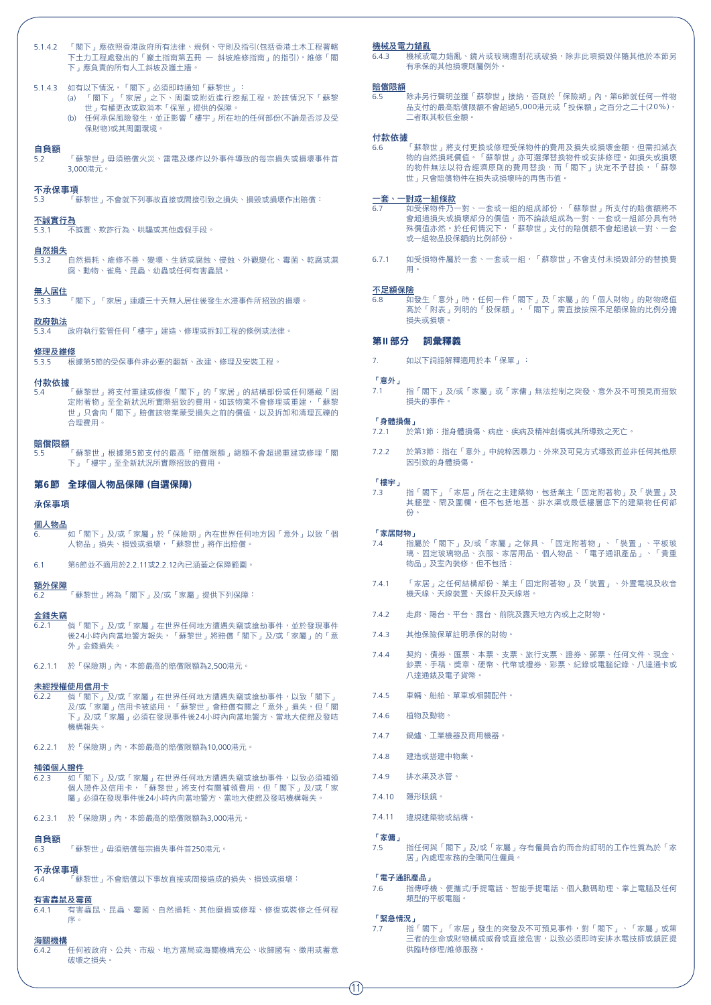#### 5.1.4.2 「閣下」應依照香港政府所有法律、規例、守則及指引(包括香港土木工程署轄 下土力工程處發出的「巖土指南第五冊 — 斜坡維修指南」的指引),維修「閣 下」應負責的所有人工斜坡及護土牆。

#### 5.1.4.3 如有以下情況,「閣下」必須即時通知「蘇黎世」:

- 。<br>(a) 「閣下」「家居」之下、周圍或附近進行挖掘工程。於該情況下「蘇黎 世」有權更改或取消本「保單」提供的保障。
- (b) 任何承保風險發生,並正影響「樓宇」所在地的任何部份(不論是否涉及受 保財物)或其周圍環境。

#### 自負額

5.2 「蘇黎世」毋須賠償火災、雷電及爆炸以外事件導致的每宗損失或損壞事件首 3,000港元。

#### 不承保事項

5.3 「蘇黎世」不會就下列事故直接或間接引致之損失、損毀或損壞作出賠償:

#### 不誠實行為

5.3.1 不誠實、欺詐行為、哄騙或其他虛假手段。

#### 自然損失

5.3.2 自然損耗、維修不善、變壞、生銹或腐蝕、侵蝕、外觀變化、霉菌、乾腐或濕 腐、動物、雀鳥、昆蟲、幼蟲或任何有害蟲鼠。

#### 無人居住

5.3.3 「閣下」「家居」連續三十天無人居住後發生水浸事件所招致的損壞。

#### 政府執法

-<br>「政府執行監管仟何「樓宇」建造、修理或拆卸工程的條例或法律。

#### 修理及維修

----<br>根據第5節的受保事件非必要的翻新、改建、修理及安裝工程。

#### 付款依據

5.4 「蘇黎世」將支付重建或修復「閣下」的「家居」的結構部份或任何隱藏「固 定附著物 」至全新狀況所實際招致的費用。如該物業不會修理或重建,「蘇黎 世」只會向「閣下」賠償該物業蒙受損失之前的價值,以及拆卸和清理瓦礫的 合理費用。

#### 賠償限額

5.5 「蘇黎世」根據第5節支付的最高「賠償限額」總額不會超過重建或修理「閣 下」「樓宇」至全新狀況所實際招致的費用。

#### 第**6**節 全球個人物品保障 (自選保障)

#### 承保事項

#### 個人物品

6. 如「閣下」及/或「家屬」於「保險期」內在世界任何地方因「意外」以致「個 人物品」損失、損毀或損壞,「蘇黎世」將作出賠償。

6.1 第6節並不適用於2.2.11或2.2.12內已涵蓋之保障範圍。

#### 額外保障

6.2 「蘇黎世」將為「閣下」及/或「家屬」提供下列保障:

#### 金錢失竊

- 6.2.1 倘「閣下」及/或「家屬」在世界任何地方遭遇失竊或搶劫事件,並於發現事件 後24小時內向當地警方報失,「蘇黎世」將賠償「閣下」及/或「家屬」的「意 外」金錢損失。
- 6.2.1.1 於「保險期」內,本節最高的賠償限額為2,500港元。

#### 未經授權使用信用卡

- 6.2.2 倘「閣下」及/或「家屬」在世界任何地方遭遇失竊或搶劫事件,以致「閣下」 及/或「家屬」信用卡被盜用,「蘇黎世」會賠償有關之「意外」損失,但「閣 下」及/或「家屬」必須在發現事件後24小時內向當地警方、當地大使館及發咭 機構報失。
- $6.2.2.1$  於「保險期」內,本節最高的賠償限額為10,000港元。

#### 補領個人證件

- ————————————————————<br>6.2.3 如「閣下」及/或「家屬」在世界任何地方遭遇失竊或搶劫事件,以致必須補領 個人證件及信用卡,「蘇黎世」將支付有關補領費用,但「閣下」及/或「家 屬」必須在發現事件後24小時內向當地警方、當地大使館及發咭機構報失。
- 6.2.3.1 於「保險期」內,本節最高的賠償限額為3,000港元。

#### 自負額

6.3 「蘇黎世」毋須賠償每宗損失事件首250港元。

#### 不承保事項

6.4 「蘇黎世」不會賠償以下事故直接或間接造成的損失、損毀或損壞:

#### 有害蟲鼠及霉菌

6.4.1 有害蟲鼠、昆蟲、霉菌、自然損耗、其他磨損或修理、修復或裝修之任何程 序。

#### 海關機構

6.4.2 任何被政府、公共、市級、地方當局或海關機構充公、收歸國有、徵用或蓄意 破壞之損失。

#### 機械及電力錯亂

6.4.3 機械或電力錯亂、鏡片或玻璃遭刮花或破損,除非此項損毀伴隨其他於本節另 有承保的其他損壞則屬例外。

#### 賠償限額

-<br>除非另行聲明並獲「蘇黎世」接納,否則於「保險期」內,第6節就任何一件物 品支付的最高賠償限額不會超過5,000港元或「投保額」之百分之二十(20%), 二者取其較低金額。

**付款依據**<br>6.6 「蘇黎世」將支付更換或修理受保物件的費用及損失或損壞金額,但需扣減衣 物的自然損耗價值。「蘇黎世」亦可選擇替換物件或安排修理。如損失或損壞 的物件無法以符合經濟原則的費用替換,而「閣下」決定不予替換,「蘇黎 世」只會賠償物件在損失或損壞時的再售市值。

#### -套、一<u>對或一組條款</u>

- 6.7 如受保物件乃一對、一套或一組的組成部份,「蘇黎世」所支付的賠償額將不 會超過損失或損壞部分的價值,而不論該組成為一對、一套或一組部分具有特 殊價值亦然。於任何情況下,「蘇黎世」支付的賠償額不會超過該一對、一套 或一組物品投保額的比例部份。
- 6.7.1 如受損物件屬於一套、一套或一組,「蘇黎世」不會支付未損毀部分的替換費 用。

#### 不足額保險

6.8 如發生「意外」時,任何一件「閣下」及「家屬」的「個人財物」的財物總值 高於「附表」列明的「投保額」,「閣下」需直接按照不足額保險的比例分擔 損失或損壞。

#### 第**II** 部分 詞彙釋義

7. 如以下詞語解釋適用於本「保單」:

#### 「意外」

7.1 指「閣下」及/或「家屬」或「家傭」無法控制之突發、意外及不可預見而招致 損失的事件。

#### 「身體損傷」

- 7.2.1 於第1節:指身體損傷、病症、疾病及精神創傷或其所導致之死亡。
- 7.2.2 於第3節:指在「意外」中純粹因暴力、外來及可見方式導致而並非任何其他原 因引致的身體損傷。

#### 「樓宇」

7.3 指「閣下」「家居」所在之主建築物,包括業主「固定附著物」及「裝置」及 其牆壁、閘及圍欄,但不包括地基、排水渠或最低樓層底下的建築物任何部 份。

#### 「家居財物」

- 7.4 指屬於「閣下」及/或「家屬」之傢具、「固定附著物」、「裝置」、平板玻 璃、固定玻璃物品、衣服、家居用品、個人物品、「電子通訊產品」、「貴重 物品」及室內裝修,但不包括:
- 7.4.1 「家居」之任何結構部份、業主「固定附著物」及「裝置」、外置電視及收音 機天線、天線裝置、天線杆及天線塔。
- 7.4.2 走廊、陽台、平台、露台、前院及露天地方內或上之財物。
- 7.4.3 其他保險保單註明承保的財物。
- 7.4.4 契約、債券、匯票、本票、支票、旅行支票、證券、郵票、任何文件、現金、 <sub>2008</sub> - 1003 - 1003 - 2008 - 2008 - 2008 - 1003 - 1003 - 3008 - 1003 - 2008 - 1003<br>納票、手稿、證音、硬幣、代幣或禮券、彩票、紀錄或雷腦紀錄、八達涌卡或 八達通錶及電子貨幣。
- 7.4.5 車輛、船舶、單車或相關配件。
- 7.4.6 植物及動物。
- 7.4.7 鍋爐、工業機器及商用機器。
- 7.4.8 建造或搭建中物業。
- 7.4.9 排水渠及水管。
- 7.4.10 隱形眼鏡。
- 7.4.11 違規建築物或結構。

#### 「家傭」

7.5 指任何與「閣下」及/或「家屬」存有僱員合約而合約訂明的工作性質為於「家 居」內處理家務的全職同住僱員。

#### 「電子通訊產品」

7.6 指傳呼機、便攜式/手提電話、智能手提電話、個人數碼助理、掌上電腦及任何 類型的平板電腦。

#### 「緊急情況」

7.7 指「閣下」「家居」發生的突發及不可預見事件,對「閣下」、「家屬」或第 三者的生命或財物構成威脅或直接危害,以致必須即時安排水電技師或鎖匠提 供臨時修理/維修服務。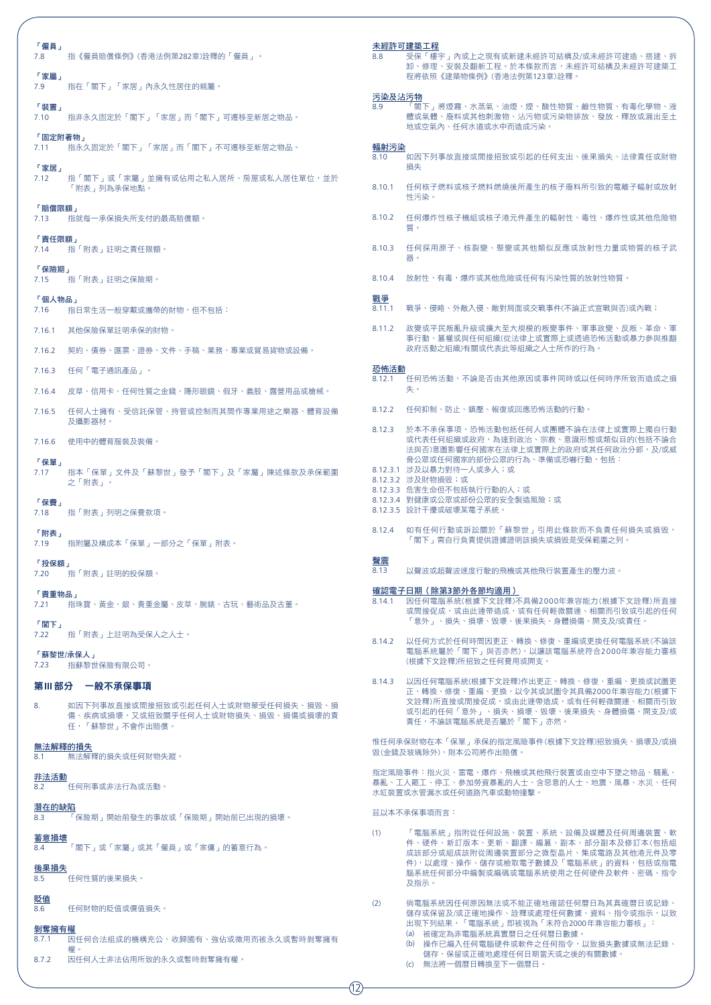| 「僱員」<br>指《僱員賠償條例》(香港法例第282章)詮釋的「僱員」。<br>7.8<br>「家屬」                                                                | 未經許可建築工程<br>受保「樓宇」內或上之現有或新建未經許可結構及/或未經許可建造、搭建、拆<br>8.8<br>卸、修理、安裝及翻新工程。於本條款而言,未經許可結構及未經許可建築工<br>程將依照《建築物條例》(香港法例第123章)詮釋。                                                                   |
|--------------------------------------------------------------------------------------------------------------------|---------------------------------------------------------------------------------------------------------------------------------------------------------------------------------------------|
| 7.9<br>指在「閣下」「家居」內永久性居住的親屬。                                                                                        | 污染及沾污物                                                                                                                                                                                      |
| 「裝置」<br>指非永久固定於「閣下」「家居」而「閣下」可遷移至新居之物品。<br>7.10                                                                     | 8.9<br>「閣下」將煙霧、水蒸氣、油煙、煙、酸性物質、鹼性物質、有毒化學物、液<br>體或氣體、廢料或其他刺激物、沾污物或污染物排放、發放、釋放或漏出至土<br>地或空氣內、任何水道或水中而造成污染。                                                                                      |
| 「固定附著物」<br>7.11   指永久固定於「閣下 」「家居 」而「閣下 」不可遷移至新居之物品。                                                                | 輻射污染<br>8.10<br>如因下列事故直接或間接招致或引起的任何支出、後果損失、法律責任或財物                                                                                                                                          |
| 「家居」<br>7.12<br>指「閣下」或「家屬」並擁有或佔用之私人居所、房屋或私人居住單位,並於<br>「附表」列為承保地點。                                                  | 損失<br>8.10.1 任何核子燃料或核子燃料燃燒後所產生的核子廢料所引致的電離子輻射或放射<br>性污染。                                                                                                                                     |
| 「賠償限額」<br>指就每一承保損失所支付的最高賠償額。<br>7.13                                                                               | 8.10.2 任何爆炸性核子機組或核子港元件產生的輻射性、毒性、爆炸性或其他危險物<br>質。                                                                                                                                             |
| 「責任限額」<br>7.14   指「附表」註明之責任限額。                                                                                     | 8.10.3 任何採用原子、核裂變、聚變或其他類似反應或放射性力量或物質的核子武<br>器。                                                                                                                                              |
| 「保險期」<br>7.15   指「附表」註明之保險期。                                                                                       | 8.10.4<br>放射性,有毒,爆炸或其他危險或任何有污染性質的放射性物質。                                                                                                                                                     |
| 「個人物品」<br>指日常生活一般穿戴或攜帶的財物,但不包括:<br>7.16                                                                            | 戰爭<br>8.11.1<br>戰爭、侵略、外敵入侵、敵對局面或交戰事件(不論正式宣戰與否)或內戰;                                                                                                                                          |
| 其他保險保單註明承保的財物。<br>7.16.1                                                                                           | 政變或平民叛亂升級或擴大至大規模的叛變事件、軍事政變、反叛、革命、軍<br>8.11.2<br>事行動、篡權或與任何組織(從法律上或實際上或透過恐怖活動或暴力參與推翻                                                                                                         |
| 7.16.2 契約、倩券、匯票、證券、文件、手稿、業務、專業或貿易貨物或設備。                                                                            | 政府活動之組織)有關或代表此等組織之人士所作的行為。                                                                                                                                                                  |
| 任何「電子通訊產品」。<br>7.16.3                                                                                              | 恐怖活動<br>8.12.1 任何恐怖活動,不論是否由其他原因或事件同時或以任何時序所致而造成之損                                                                                                                                           |
| 皮草、信用卡、任何性質之金錢、隱形眼鏡、假牙、義肢、露營用品或槍械。<br>7.16.4                                                                       | 失。                                                                                                                                                                                          |
| 7.16.5 任何人士擁有、受信託保管、持管或控制而其間作專業用途之樂器、體育設備<br>及攝影器材。                                                                | 8.12.2 任何抑制、防止、鎮壓、報復或回應恐怖活動的行動。                                                                                                                                                             |
| 7.16.6 使用中的體育服裝及裝備。<br>「保單」                                                                                        | 8.12.3 於本不承保事項,恐怖活動包括任何人或團體不論在法律上或實際上獨自行動<br>或代表任何組織或政府,為達到政治、宗教、意識形態或類似目的(包括不論合<br>法與否)意圖影響任何國家在法律上或實際上的政府或其任何政治分部,及/或威<br>脅公眾或任何國家的部份公眾的行為、準備或恐嚇行動,包括:                                    |
| 指本「保單」文件及「蘇黎世」發予「閣下」及「家屬」陳述條款及承保範圍<br>7.17<br>之「附表」。                                                               | 8.12.3.1 涉及以暴力對待一人或多人;或<br>8.12.3.2 涉及財物損毀;或<br>8.12.3.3 危害生命但不包括執行行動的人;或                                                                                                                   |
| 「保費」<br>指「附表」列明之保費款項。<br>7.18                                                                                      | 8.12.3.4 對健康或公眾或部份公眾的安全製造風險;或<br>8.12.3.5 設計干擾或破壞某電子系統。                                                                                                                                     |
| 「附表」<br>指附屬及構成本「保單」一部分之「保單」附表。<br>7.19                                                                             | 8.12.4   如有任何行動或訴訟關於「蘇黎世」引用此條款而不負責任何損失或損毀,<br>「閣下」需自行負責提供證據證明該損失或損毀是受保範圍之列。                                                                                                                 |
| 「投保額」<br>指「附表」註明的投保額<br>7.20                                                                                       | 聲震<br>以聲波或超聲波速度行駛的飛機或其他飛行裝置產生的壓力波。<br>8.13                                                                                                                                                  |
| 「貴重物品」<br>指珠寶、黃金、銀、貴重金屬、皮草、腕錶、古玩、藝術品及古董。<br>7.21<br>「閣下」                                                           | 確認電子日期 ( 除第3節外各節均適用 )<br>8.14.1 因任何電腦系統(根據下文詮釋)不具備2000年兼容能力(根據下文詮釋)所直接<br>或間接促成,或由此連帶造成,或有任何輕微關連、相關而引致或引起的任何<br>「意外」、損失、損壞、毀壞、後果損失、身體損傷、開支及/或責任。                                            |
| 指「附表」上註明為受保人之人士。<br>7.22<br>「蘇黎世/承保人」                                                                              | 8.14.2 以仟何方式於仟何時間因更正、轉換、修復、重編或更換仟何雷腦系統(不論該<br>電腦系統屬於「閣下」與否亦然),以讓該電腦系統符合2000年兼容能力審核                                                                                                          |
| 指蘇黎世保險有限公司。<br>7.23                                                                                                | (根據下文詮釋)所招致之任何費用或開支。                                                                                                                                                                        |
| 第Ⅲ 部分  一般不承保事項<br>如因下列事故直接或間接招致或引起仟何人十或財物蒙受仟何損失、捐毀、捐<br>8.<br>傷、疾病或損壞,又或招致關乎任何人士或財物損失、損毀、損傷或損壞的責<br>任,「蘇黎世」不會作出賠償。 | 8.14.3 以因任何電腦系統(根據下文詮釋)作出更正、轉換、修復、重編、更換或試圖更<br>正、轉換、修復、重編、更換,以令其或試圖令其具備2000年兼容能力(根據下<br>文詮釋)所直接或間接促成,或由此連帶造成,或有任何輕微關連、相關而引致<br>或引起的任何「意外」、損失、損壞、毀壞、後果損失、身體損傷、開支及/或<br>青仟,不論該電腦系統是否屬於「閣下」亦然。 |
| 無法解釋的損失<br>無法解釋的損失或任何財物失蹤。<br>8.1                                                                                  | 惟任何承保財物在本「保單」承保的指定風險事件(根據下文詮釋)招致損失、損壞及/或損<br>毀(金錢及玻璃除外),則本公司將作出賠償。                                                                                                                          |
| 非法活動<br>任何刑事或非法行為或活動。<br>8.2                                                                                       | 指定風險事件:指火災、雷電、爆炸、飛機或其他飛行裝置或由空中下墜之物品、騷亂、<br>暴亂、工人罷工、停工、參加勞資暴亂的人士、含惡意的人士、地震、風暴、水災、任何<br>水缸裝置或水管漏水或任何道路汽車或動物撞擊。                                                                                |
| 潛在的缺陷<br>「保險期」開始前發生的事故或「保險期」開始前已出現的損壞。<br>8.3                                                                      | 茲以本不承保事項而言:                                                                                                                                                                                 |
| 蓄意損壞<br>「閣下」或「家屬」或其「僱員」或「家傭」的蓄意行為。<br>8.4                                                                          | 「電腦系統」指附從任何設施、裝置、系統、設備及媒體及任何周邊裝置、軟<br>(1)<br>件、硬件、新訂版本、更新、翻譯、編篡、副本、部分副本及修訂本(包括組<br>成該部分或組成該附從周邊裝置部分之微型晶片、集成電路及其他港元件及零                                                                       |
| 後果損失<br>任何性質的後果損失。<br>8.5                                                                                          | 件),以處理、操作、儲存或檢取電子數據及「電腦系統」的資料,包括或指電<br>腦系統任何部分中編製或編碼或電腦系統使用之任何硬件及軟件、密碼、指令<br>及指示。                                                                                                           |
| 貶值<br>任何財物的貶值或價值損失。<br>8.6                                                                                         | 倘電腦系統因任何原因無法或不能正確地確認任何曆日為其真確曆日或記錄、<br>(2)<br>儲存或保留及/或正確地操作、詮釋或處理任何數據、資料、指令或指示,以致                                                                                                            |
| 剝奪擁有權<br>因任何合法組成的機構充公、收歸國有、強佔或徵用而被永久或暫時剝奪擁有<br>8.7.1<br>權。<br>8.7.2<br>因仟何人十非法佔用所致的永久或暫時剝奪擁有權。                     | 出現下列結果,「電腦系統」即被視為「未符合2000年兼容能力審核」:<br>(a) 被確定為非電腦系統真實曆日之任何曆日數據。<br>(b) 操作已編入任何電腦硬件或軟件之任何指令,以致損失數據或無法記錄、<br>儲存、保留或正確地處理任何日期當天或之後的有關數據。<br>(c) 無法將一個曆日轉換至下一個曆日。                               |
|                                                                                                                    | (12)                                                                                                                                                                                        |